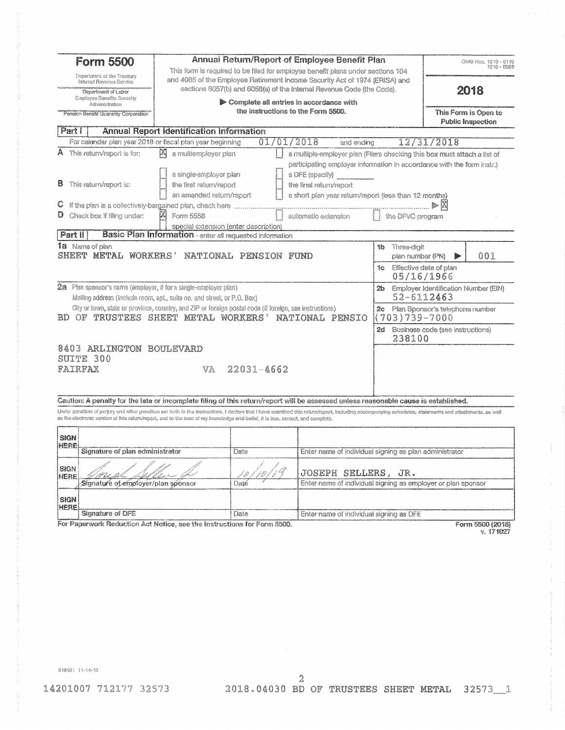|                     | <b>Annual Return/Report of Employee Benefit Plan</b><br><b>Form 5500</b><br>This form is required to be filed for employee benefit plans under sections 104 |                                                                                                                                                                                                                                                                                                                                    |                                                                               |                                                                                                                                                      |                                                         |                                  | OMB Nos. 1210 - 0110<br>1210 - 0089 |
|---------------------|-------------------------------------------------------------------------------------------------------------------------------------------------------------|------------------------------------------------------------------------------------------------------------------------------------------------------------------------------------------------------------------------------------------------------------------------------------------------------------------------------------|-------------------------------------------------------------------------------|------------------------------------------------------------------------------------------------------------------------------------------------------|---------------------------------------------------------|----------------------------------|-------------------------------------|
|                     | Department of the Tressury<br>Internal Revenua Service<br>Department of Labor                                                                               |                                                                                                                                                                                                                                                                                                                                    |                                                                               | and 4065 of the Employee Retirement Income Security Act of 1974 (ERISA) and<br>sections 6057(b) and 6058(a) of the Internal Revenue Code (the Code). |                                                         |                                  | 2018                                |
|                     | Employes Banafits Security<br>Administration<br>Pension Benefit Guaranty Corporation                                                                        |                                                                                                                                                                                                                                                                                                                                    | Complete all entries in accordance with<br>the instructions to the Form 5500. |                                                                                                                                                      |                                                         |                                  | This Form is Open to                |
| Part                |                                                                                                                                                             | <b>Annual Report Identification Information</b>                                                                                                                                                                                                                                                                                    |                                                                               |                                                                                                                                                      |                                                         |                                  | <b>Public Inspection</b>            |
|                     |                                                                                                                                                             | For calendar plan year 2018 or fiscal plan year beginning                                                                                                                                                                                                                                                                          | 01/01/2018                                                                    | and ending                                                                                                                                           |                                                         | 12/31/2018                       |                                     |
|                     | A This return/report is for:                                                                                                                                | M<br>a multiemployer plan                                                                                                                                                                                                                                                                                                          |                                                                               | a multiple-employer pian (Filers checking this box must attach a list of                                                                             |                                                         |                                  |                                     |
|                     |                                                                                                                                                             |                                                                                                                                                                                                                                                                                                                                    |                                                                               | participating employer information in accordance with the form instr.)                                                                               |                                                         |                                  |                                     |
|                     |                                                                                                                                                             | a single-employer plan                                                                                                                                                                                                                                                                                                             |                                                                               | a DFE (specify)                                                                                                                                      |                                                         |                                  |                                     |
|                     | <b>B</b> This return/report is:                                                                                                                             | the first return/report                                                                                                                                                                                                                                                                                                            |                                                                               | the final return/report                                                                                                                              |                                                         |                                  |                                     |
|                     |                                                                                                                                                             | an amended return/report                                                                                                                                                                                                                                                                                                           |                                                                               | a short plan year return/report (less than 12 months)                                                                                                |                                                         |                                  |                                     |
| C                   |                                                                                                                                                             | If the plan is a collectively-bargained plan, check here                                                                                                                                                                                                                                                                           |                                                                               |                                                                                                                                                      |                                                         |                                  |                                     |
|                     | $\mathsf{D}$ Check box if filing under:                                                                                                                     | Form 5558<br>special extension (enter description)                                                                                                                                                                                                                                                                                 |                                                                               | automatic extension                                                                                                                                  | the DFVC program                                        |                                  |                                     |
| Part II             |                                                                                                                                                             | Basic Plan Information - enter all requested information                                                                                                                                                                                                                                                                           |                                                                               |                                                                                                                                                      |                                                         |                                  |                                     |
|                     | 1a Name of plan<br>SHEET METAL WORKERS'                                                                                                                     |                                                                                                                                                                                                                                                                                                                                    | NATIONAL PENSION FUND                                                         |                                                                                                                                                      | Three-digit<br>1b.<br>plan number (PN)                  |                                  | 001                                 |
|                     |                                                                                                                                                             |                                                                                                                                                                                                                                                                                                                                    |                                                                               |                                                                                                                                                      | 1c Effective date of plan<br>05/16/1966                 |                                  |                                     |
|                     |                                                                                                                                                             | $2a$ Plan sponsor's name (employer, if for a single-employer plan)                                                                                                                                                                                                                                                                 |                                                                               |                                                                                                                                                      | 2b Employer Identification Number (EIN)                 |                                  |                                     |
|                     |                                                                                                                                                             | Malling address (include room, apt., suite no. and street, or P.O. Box)                                                                                                                                                                                                                                                            |                                                                               |                                                                                                                                                      | 52-6112463                                              |                                  |                                     |
|                     |                                                                                                                                                             | Gity or town, state or province, country, and ZIP or foreign postal code (if foreign, see instructions)<br>BD OF TRUSTEES SHEET METAL WORKERS'                                                                                                                                                                                     |                                                                               | NATIONAL PENSIO                                                                                                                                      | 2c Plan Sponsor's telephone number<br>$(703)739 - 7000$ |                                  |                                     |
|                     |                                                                                                                                                             |                                                                                                                                                                                                                                                                                                                                    |                                                                               |                                                                                                                                                      | $2d -$<br>238100                                        | Business code (see instructions) |                                     |
|                     | 8403 ARLINGTON BOULEVARD                                                                                                                                    |                                                                                                                                                                                                                                                                                                                                    |                                                                               |                                                                                                                                                      |                                                         |                                  |                                     |
|                     | SUITE 300                                                                                                                                                   |                                                                                                                                                                                                                                                                                                                                    |                                                                               |                                                                                                                                                      |                                                         |                                  |                                     |
| FAIRFAX             |                                                                                                                                                             |                                                                                                                                                                                                                                                                                                                                    | $V_A = 22031 - 4662$                                                          |                                                                                                                                                      |                                                         |                                  |                                     |
|                     |                                                                                                                                                             |                                                                                                                                                                                                                                                                                                                                    |                                                                               |                                                                                                                                                      |                                                         |                                  |                                     |
|                     |                                                                                                                                                             | Caution: A penalty for the late or incomplete filing of this return/report will be assessed unless reasonable cause is established.                                                                                                                                                                                                |                                                                               |                                                                                                                                                      |                                                         |                                  |                                     |
|                     |                                                                                                                                                             | Under peraties of perjuy and other penaties ent forth in the instructions, I declare that I have examined this retundreport, including socompenying echedules, statements and attachments, as well<br>as the afectronic veralon of this mium/report, and to the bast of my knowledge and befief, it is tnee, convot, and complets. |                                                                               |                                                                                                                                                      |                                                         |                                  |                                     |
| <b>SIGN</b>         |                                                                                                                                                             |                                                                                                                                                                                                                                                                                                                                    |                                                                               |                                                                                                                                                      |                                                         |                                  |                                     |
| HERE                | Signature of plan administrator                                                                                                                             |                                                                                                                                                                                                                                                                                                                                    | Date                                                                          | Enter name of individual signing as plan administrator                                                                                               |                                                         |                                  |                                     |
|                     |                                                                                                                                                             |                                                                                                                                                                                                                                                                                                                                    |                                                                               |                                                                                                                                                      |                                                         |                                  |                                     |
| <b>SIGN</b><br>HERE |                                                                                                                                                             |                                                                                                                                                                                                                                                                                                                                    | ' D                                                                           | JOSEPH SELLERS, JR.                                                                                                                                  |                                                         |                                  |                                     |
|                     | Signature of employer/plan sponsor                                                                                                                          |                                                                                                                                                                                                                                                                                                                                    | Date                                                                          | Enter name of individual signing as employer or plan sponsor                                                                                         |                                                         |                                  |                                     |
| <b>SIGN</b>         |                                                                                                                                                             |                                                                                                                                                                                                                                                                                                                                    |                                                                               |                                                                                                                                                      |                                                         |                                  |                                     |
| <b>HERE</b>         | <b>Signature of DFE</b>                                                                                                                                     |                                                                                                                                                                                                                                                                                                                                    | Date                                                                          | Enter name of individual signing as DFE                                                                                                              |                                                         |                                  |                                     |
|                     |                                                                                                                                                             |                                                                                                                                                                                                                                                                                                                                    |                                                                               |                                                                                                                                                      |                                                         |                                  |                                     |

Signature of DFE Date<br>For Paperwork Reduction Act Notice, see the Instructions for Form 5500.

Form 5500 (2018)<br>v. 171027

 $818401\_11\text{-}14\text{-}13$ 

2 14201007 712177 32573 2018.04030 BD OF TRUSTEES SHEET METAL 32573\_1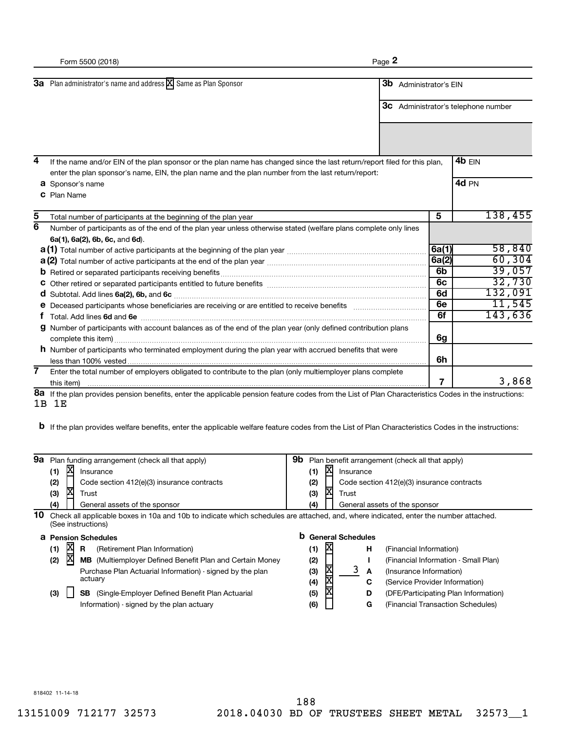|                     | Form 5500 (2018)                                                                                                                                                                                                                                                          | Page 2 |                               |                                            |
|---------------------|---------------------------------------------------------------------------------------------------------------------------------------------------------------------------------------------------------------------------------------------------------------------------|--------|-------------------------------|--------------------------------------------|
|                     | 3a Plan administrator's name and address X Same as Plan Sponsor                                                                                                                                                                                                           |        | <b>3b</b> Administrator's EIN | <b>3C</b> Administrator's telephone number |
| 4                   | If the name and/or EIN of the plan sponsor or the plan name has changed since the last return/report filed for this plan,<br>enter the plan sponsor's name, EIN, the plan name and the plan number from the last return/report:<br><b>a</b> Sponsor's name<br>C Plan Name |        |                               | 4b EIN<br>4d PN                            |
| 5<br>$\overline{6}$ | Total number of participants at the beginning of the plan year<br>Number of participants as of the end of the plan year unless otherwise stated (welfare plans complete only lines                                                                                        |        | 5                             | 138,455                                    |
|                     | 6a(1), 6a(2), 6b, 6c, and 6d).                                                                                                                                                                                                                                            |        | 6a(1)<br>6a(2)                | 58,840<br>60, 304                          |
|                     |                                                                                                                                                                                                                                                                           |        | 6b<br>6c<br>6d                | 39,057<br>32,730<br>132,091                |
|                     | e Deceased participants whose beneficiaries are receiving or are entitled to receive benefits [[[[[[[[[[[[[[[                                                                                                                                                             |        | 6e<br>6f                      | 11,545<br>143,636                          |
| a                   | Number of participants with account balances as of the end of the plan year (only defined contribution plans<br><b>h</b> Number of participants who terminated employment during the plan year with accrued benefits that were                                            |        | 6g                            |                                            |
| 7                   | less than 100% vested<br>Enter the total number of employers obligated to contribute to the plan (only multiemployer plans complete<br>this item)                                                                                                                         |        | 6h<br>7                       | 3,868                                      |

**8a** If the plan provides pension benefits, enter the applicable pension feature codes from the List of Plan Characteristics Codes in the instructions: 1B 1E

**b** If the plan provides welfare benefits, enter the applicable welfare feature codes from the List of Plan Characteristics Codes in the instructions:

| 9а |                   | Plan funding arrangement (check all that apply)                                                                                                            | 9b  |       |                          |   | Plan benefit arrangement (check all that apply) |
|----|-------------------|------------------------------------------------------------------------------------------------------------------------------------------------------------|-----|-------|--------------------------|---|-------------------------------------------------|
|    | X<br>(1)          | Insurance                                                                                                                                                  | (1) | x     | Insurance                |   |                                                 |
|    | (2)               | Code section 412(e)(3) insurance contracts                                                                                                                 | (2) |       |                          |   | Code section 412(e)(3) insurance contracts      |
|    | 区<br>(3)          | Trust                                                                                                                                                      | (3) | х     | Trust                    |   |                                                 |
|    | (4)               | General assets of the sponsor                                                                                                                              | (4) |       |                          |   | General assets of the sponsor                   |
| 10 |                   | Check all applicable boxes in 10a and 10b to indicate which schedules are attached, and, where indicated, enter the number attached.<br>(See instructions) |     |       |                          |   |                                                 |
|    |                   | <b>a</b> Pension Schedules                                                                                                                                 | b   |       | <b>General Schedules</b> |   |                                                 |
|    | <b>XIX</b><br>(1) | (Retirement Plan Information)<br>R                                                                                                                         | (1) | X     |                          | н | (Financial Information)                         |
|    | (2)               | <b>MB</b> (Multiemployer Defined Benefit Plan and Certain Money                                                                                            | (2) |       |                          |   | (Financial Information - Small Plan)            |
|    |                   | Purchase Plan Actuarial Information) - signed by the plan                                                                                                  | (3) | XIXIX | 3                        | A | (Insurance Information)                         |
|    |                   | actuary                                                                                                                                                    | (4) |       |                          | C | (Service Provider Information)                  |
|    | (3)               | (Single-Employer Defined Benefit Plan Actuarial<br>SB                                                                                                      | (5) |       |                          | D | (DFE/Participating Plan Information)            |

Information) - signed by the plan actuary

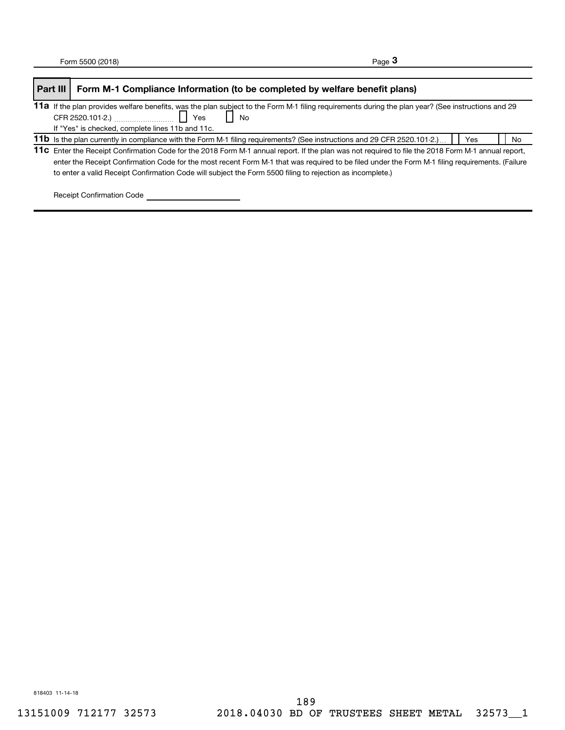| Part III | Form M-1 Compliance Information (to be completed by welfare benefit plans)                                                                                                                                                                                                                                                                                                                                         |           |
|----------|--------------------------------------------------------------------------------------------------------------------------------------------------------------------------------------------------------------------------------------------------------------------------------------------------------------------------------------------------------------------------------------------------------------------|-----------|
|          | 11a If the plan provides welfare benefits, was the plan subject to the Form M-1 filing requirements during the plan year? (See instructions and 29<br>If "Yes" is checked, complete lines 11b and 11c.                                                                                                                                                                                                             |           |
|          | 11b Is the plan currently in compliance with the Form M-1 filing requirements? (See instructions and 29 CFR 2520.101-2.)<br>Yes                                                                                                                                                                                                                                                                                    | <b>No</b> |
|          | 11c Enter the Receipt Confirmation Code for the 2018 Form M-1 annual report. If the plan was not required to file the 2018 Form M-1 annual report,<br>enter the Receipt Confirmation Code for the most recent Form M-1 that was required to be filed under the Form M-1 filing requirements. (Failure<br>to enter a valid Receipt Confirmation Code will subject the Form 5500 filing to rejection as incomplete.) |           |

Receipt Confirmation Code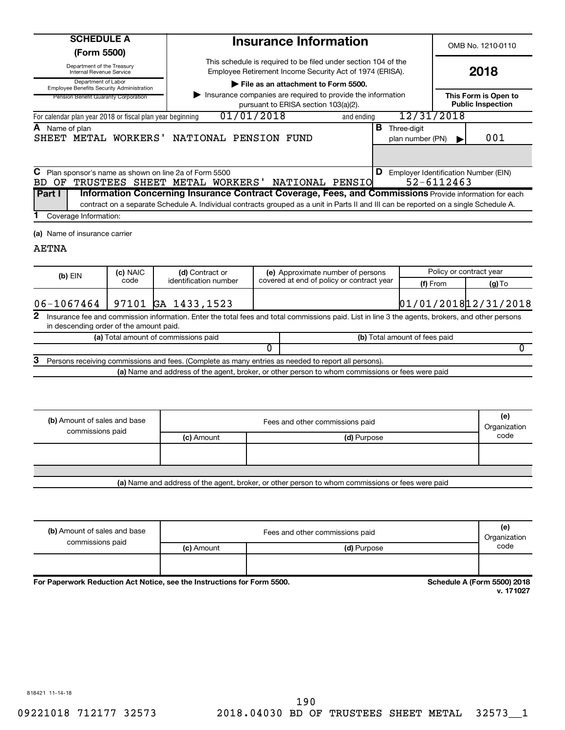| <b>SCHEDULE A</b> |
|-------------------|
| -----             |

**(Form 5500)**

Department of the Treasury

Internal Revenue Service

OMB No. 1210-0110

**2018**

| Department of Labor<br><b>Employee Benefits Security Administration</b>         | File as an attachment to Form 5500.                                                                    |            |                                 |            |                                                  |
|---------------------------------------------------------------------------------|--------------------------------------------------------------------------------------------------------|------------|---------------------------------|------------|--------------------------------------------------|
| Pension Benefit Guaranty Corporation                                            | Insurance companies are required to provide the information<br>pursuant to ERISA section 103(a)(2).    |            |                                 |            | This Form is Open to<br><b>Public Inspection</b> |
| For calendar plan year 2018 or fiscal plan year beginning                       | 01/01/2018                                                                                             | and ending | 12/31/2018                      |            |                                                  |
| <b>A</b> Name of plan<br>WORKERS'<br>SHEET METAL                                | NATIONAL PENSION<br>FUND                                                                               | в          | Three-diait<br>plan number (PN) |            | 001                                              |
|                                                                                 |                                                                                                        |            |                                 |            |                                                  |
| C Plan sponsor's name as shown on line 2a of Form 5500<br>BD.<br>TRUSTEES<br>OF | NATIONAL<br>PENSIO<br>WORKERS'<br>SHEET METAL                                                          | D          |                                 | 52-6112463 | Employer Identification Number (EIN)             |
| <b>Part I</b>                                                                   | Information Concerning Insurance Contract Coverage, Fees, and Commissions Provide information for each |            |                                 |            |                                                  |

This schedule is required to be filed under section 104 of the Employee Retirement Income Security Act of 1974 (ERISA).

**Insurance Information**

contract on a separate Schedule A. Individual contracts grouped as a unit in Parts II and III can be reported on a single Schedule A.

Coverage Information: **1**

**(a)** Name of insurance carrier

## AETNA

| $(b)$ EIN                                                 |                                                                                                                                                                                                  | (c) NAIC | (d) Contract or                      |  | (e) Approximate number of persons         | Policy or contract year       |          |  |
|-----------------------------------------------------------|--------------------------------------------------------------------------------------------------------------------------------------------------------------------------------------------------|----------|--------------------------------------|--|-------------------------------------------|-------------------------------|----------|--|
|                                                           |                                                                                                                                                                                                  | code     | identification number                |  | covered at end of policy or contract year | (f) From                      | $(g)$ To |  |
|                                                           |                                                                                                                                                                                                  |          |                                      |  |                                           |                               |          |  |
| 01/01/2018 12/31/2018<br>97101 GA 1433,1523<br>06-1067464 |                                                                                                                                                                                                  |          |                                      |  |                                           |                               |          |  |
|                                                           | 2<br>Insurance fee and commission information. Enter the total fees and total commissions paid. List in line 3 the agents, brokers, and other persons<br>in descending order of the amount paid. |          |                                      |  |                                           |                               |          |  |
|                                                           |                                                                                                                                                                                                  |          | (a) Total amount of commissions paid |  |                                           | (b) Total amount of fees paid |          |  |
|                                                           |                                                                                                                                                                                                  |          |                                      |  |                                           |                               |          |  |
| 3                                                         | Persons receiving commissions and fees. (Complete as many entries as needed to report all persons).                                                                                              |          |                                      |  |                                           |                               |          |  |
|                                                           | (a) Name and address of the agent, broker, or other person to whom commissions or fees were paid                                                                                                 |          |                                      |  |                                           |                               |          |  |

| (b) Amount of sales and base<br>commissions paid                                                 | Fees and other commissions paid |             |      |  |
|--------------------------------------------------------------------------------------------------|---------------------------------|-------------|------|--|
|                                                                                                  | (c) Amount                      | (d) Purpose | code |  |
|                                                                                                  |                                 |             |      |  |
|                                                                                                  |                                 |             |      |  |
|                                                                                                  |                                 |             |      |  |
| (a) Name and address of the agent, broker, or other person to whom commissions or fees were paid |                                 |             |      |  |

| (b) Amount of sales and base<br>commissions paid | Fees and other commissions paid<br>Organization |             |      |
|--------------------------------------------------|-------------------------------------------------|-------------|------|
|                                                  | (c) Amount                                      | (d) Purpose | code |
|                                                  |                                                 |             |      |

**For Paperwork Reduction Act Notice, see the Instructions for Form 5500. Schedule A (Form 5500) 2018**

**v. 171027**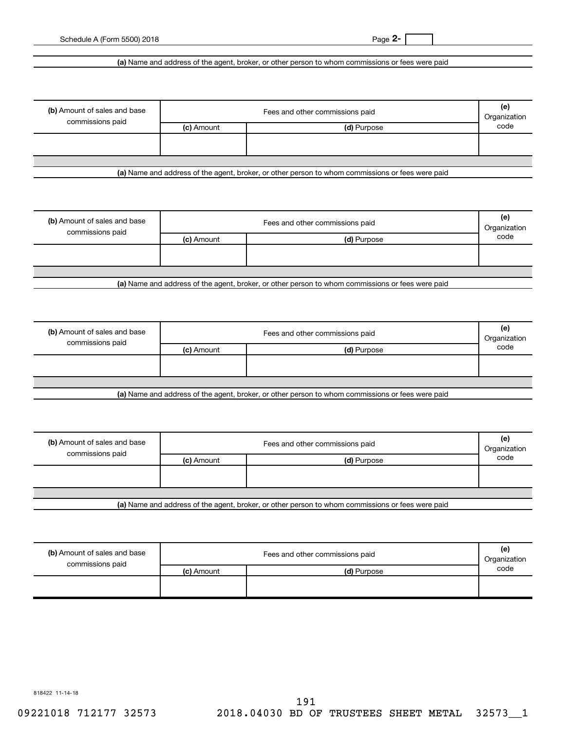## **(a)**  Name and address of the agent, broker, or other person to whom commissions or fees were paid

| (b) Amount of sales and base<br>commissions paid | Fees and other commissions paid<br>Organization |             |      |  |
|--------------------------------------------------|-------------------------------------------------|-------------|------|--|
|                                                  | (c) Amount                                      | (d) Purpose | code |  |
|                                                  |                                                 |             |      |  |
|                                                  |                                                 |             |      |  |

**(a)**  Name and address of the agent, broker, or other person to whom commissions or fees were paid

| (b) Amount of sales and base<br>commissions paid | Fees and other commissions paid |             |      |  |
|--------------------------------------------------|---------------------------------|-------------|------|--|
|                                                  | (c) Amount                      | (d) Purpose | code |  |
|                                                  |                                 |             |      |  |
|                                                  |                                 |             |      |  |
| .                                                |                                 |             |      |  |

**(a)**  Name and address of the agent, broker, or other person to whom commissions or fees were paid

| (b) Amount of sales and base | Fees and other commissions paid |                                                                                                 |      |
|------------------------------|---------------------------------|-------------------------------------------------------------------------------------------------|------|
| commissions paid             | (c) Amount                      | (d) Purpose                                                                                     | code |
|                              |                                 |                                                                                                 |      |
|                              |                                 |                                                                                                 |      |
|                              |                                 |                                                                                                 |      |
|                              |                                 | Let Name and address of the seart broker, as other person to whom commissions or face were poid |      |

**(a)**  Name and address of the agent, broker, or other person to whom commissions or fees were paid

| (b) Amount of sales and base<br>commissions paid | Fees and other commissions paid |                                                    |      |
|--------------------------------------------------|---------------------------------|----------------------------------------------------|------|
|                                                  | (c) Amount                      | (d) Purpose                                        | code |
|                                                  |                                 |                                                    |      |
|                                                  |                                 |                                                    |      |
| .                                                | $\sim$ $\sim$<br>.<br>.         | $\cdot$ $\cdot$<br>. .<br>$\overline{\phantom{a}}$ |      |

**(a)**  Name and address of the agent, broker, or other person to whom commissions or fees were paid

| (b) Amount of sales and base<br>commissions paid |            | Fees and other commissions paid | (e)<br>Organization |
|--------------------------------------------------|------------|---------------------------------|---------------------|
|                                                  | (c) Amount | (d) Purpose                     | code                |
|                                                  |            |                                 |                     |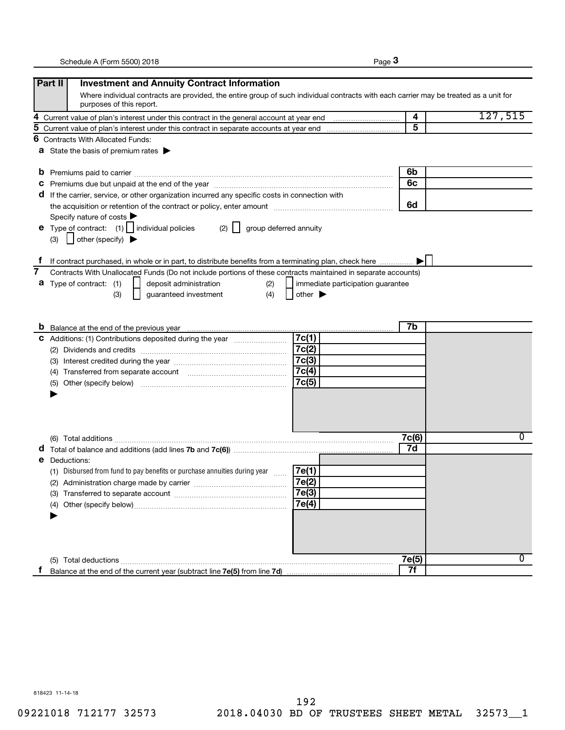|--|--|

|   | Part II<br><b>Investment and Annuity Contract Information</b>                                                                                                     |                                   |       |         |
|---|-------------------------------------------------------------------------------------------------------------------------------------------------------------------|-----------------------------------|-------|---------|
|   | Where individual contracts are provided, the entire group of such individual contracts with each carrier may be treated as a unit for<br>purposes of this report. |                                   |       |         |
| 4 |                                                                                                                                                                   |                                   | 4     | 127,515 |
| 5 |                                                                                                                                                                   |                                   | 5     |         |
| 6 | <b>Contracts With Allocated Funds:</b>                                                                                                                            |                                   |       |         |
|   | <b>a</b> State the basis of premium rates $\blacktriangleright$                                                                                                   |                                   |       |         |
|   |                                                                                                                                                                   |                                   | 6b    |         |
|   |                                                                                                                                                                   |                                   | 6с    |         |
|   | d If the carrier, service, or other organization incurred any specific costs in connection with                                                                   |                                   |       |         |
|   |                                                                                                                                                                   |                                   | 6d    |         |
|   | Specify nature of costs $\blacktriangleright$                                                                                                                     |                                   |       |         |
|   | $(2)$   group deferred annuity<br><b>e</b> Type of contract: $(1)$   individual policies                                                                          |                                   |       |         |
|   | other (specify)<br>(3)                                                                                                                                            |                                   |       |         |
|   |                                                                                                                                                                   |                                   |       |         |
|   | If contract purchased, in whole or in part, to distribute benefits from a terminating plan, check here                                                            |                                   |       |         |
| 7 | Contracts With Unallocated Funds (Do not include portions of these contracts maintained in separate accounts)                                                     |                                   |       |         |
|   | <b>a</b> Type of contract: (1)<br>deposit administration<br>(2)                                                                                                   | immediate participation quarantee |       |         |
|   | (4)<br>guaranteed investment<br>(3)                                                                                                                               | other $\blacktriangleright$       |       |         |
|   |                                                                                                                                                                   |                                   |       |         |
|   |                                                                                                                                                                   |                                   |       |         |
|   | <b>b</b> Balance at the end of the previous year <b>manually contained</b> and the end of the previous year <b>by</b> Balance at the end of the previous year     |                                   | 7b    |         |
|   | C Additions: (1) Contributions deposited during the year <i>manummann</i>                                                                                         | 7c(1)                             |       |         |
|   |                                                                                                                                                                   | 7c(2)                             |       |         |
|   |                                                                                                                                                                   | 7c(3)                             |       |         |
|   |                                                                                                                                                                   | 7c(4)                             |       |         |
|   | (5)                                                                                                                                                               | 7c(5)                             |       |         |
|   |                                                                                                                                                                   |                                   |       |         |
|   |                                                                                                                                                                   |                                   |       |         |
|   |                                                                                                                                                                   |                                   |       |         |
|   |                                                                                                                                                                   |                                   | 7c(6) | 0       |
|   |                                                                                                                                                                   |                                   | 7d    |         |
|   | <b>e</b> Deductions:                                                                                                                                              |                                   |       |         |
|   | (1) Disbursed from fund to pay benefits or purchase annuities during year                                                                                         | 7e(1)                             |       |         |
|   | (2) Administration charge made by carrier                                                                                                                         | 7e(2)                             |       |         |
|   |                                                                                                                                                                   | 7e(3)                             |       |         |
|   |                                                                                                                                                                   | 7e(4)                             |       |         |
|   |                                                                                                                                                                   |                                   |       |         |
|   |                                                                                                                                                                   |                                   |       |         |
|   |                                                                                                                                                                   |                                   |       |         |
|   |                                                                                                                                                                   |                                   |       |         |
|   |                                                                                                                                                                   |                                   | 7e(5) | 0       |
|   |                                                                                                                                                                   |                                   | 7f    |         |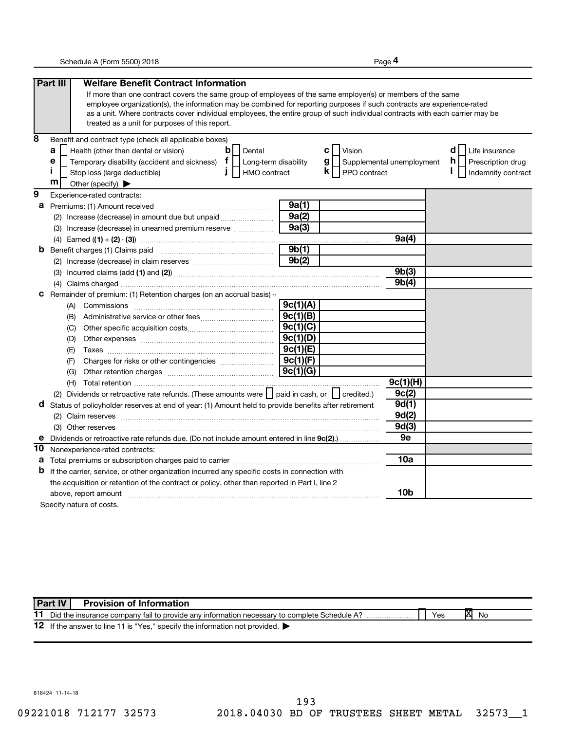**4**

|    | Part III<br><b>Welfare Benefit Contract Information</b>                                                                       |          |                                             |                 |                         |
|----|-------------------------------------------------------------------------------------------------------------------------------|----------|---------------------------------------------|-----------------|-------------------------|
|    | If more than one contract covers the same group of employees of the same employer(s) or members of the same                   |          |                                             |                 |                         |
|    | employee organization(s), the information may be combined for reporting purposes if such contracts are experience-rated       |          |                                             |                 |                         |
|    | as a unit. Where contracts cover individual employees, the entire group of such individual contracts with each carrier may be |          |                                             |                 |                         |
|    | treated as a unit for purposes of this report.                                                                                |          |                                             |                 |                         |
| 8  | Benefit and contract type (check all applicable boxes)                                                                        |          |                                             |                 |                         |
|    | a<br>Health (other than dental or vision)<br>$\mathbf b$<br>Dental                                                            |          | <b>C</b>   Vision                           |                 | d<br>Life insurance     |
|    | Temporary disability (accident and sickness) $f$<br>е<br>Long-term disability                                                 |          | $g \mid \cdot$<br>Supplemental unemployment |                 | h.<br>Prescription drug |
|    | п<br>HMO contract<br>Stop loss (large deductible)                                                                             |          | $\mathsf{k}$   PPO contract                 |                 | Indemnity contract      |
|    | m<br>Other (specify) $\blacktriangleright$                                                                                    |          |                                             |                 |                         |
| 9  | Experience-rated contracts:                                                                                                   |          |                                             |                 |                         |
| а  | Premiums: (1) Amount received                                                                                                 | 9a(1)    |                                             |                 |                         |
|    | (2) Increase (decrease) in amount due but unpaid                                                                              | 9a(2)    |                                             |                 |                         |
|    | (3) Increase (decrease) in unearned premium reserve                                                                           | 9a(3)    |                                             |                 |                         |
|    | (4)                                                                                                                           |          |                                             | 9a(4)           |                         |
| b  | Benefit charges (1) Claims paid                                                                                               | 9b(1)    |                                             |                 |                         |
|    |                                                                                                                               | 9b(2)    |                                             |                 |                         |
|    |                                                                                                                               |          |                                             | 9b(3)           |                         |
|    |                                                                                                                               |          |                                             | 9b(4)           |                         |
| С  | Remainder of premium: (1) Retention charges (on an accrual basis) -                                                           |          |                                             |                 |                         |
|    |                                                                                                                               | 9c(1)(A) |                                             |                 |                         |
|    |                                                                                                                               | 9c(1)(B) |                                             |                 |                         |
|    | (C)                                                                                                                           | 9c(1)(C) |                                             |                 |                         |
|    | (D)                                                                                                                           | 9c(1)(D) |                                             |                 |                         |
|    | (E)                                                                                                                           | 9c(1)(E) |                                             |                 |                         |
|    | (F)                                                                                                                           | 9c(1)(F) |                                             |                 |                         |
|    | (G)                                                                                                                           | 9c(1)(G) |                                             |                 |                         |
|    |                                                                                                                               |          |                                             | 9c(1)(H)        |                         |
|    | (2) Dividends or retroactive rate refunds. (These amounts were   paid in cash, or   credited.)                                |          |                                             | 9c(2)           |                         |
| d  | Status of policyholder reserves at end of year: (1) Amount held to provide benefits after retirement                          |          |                                             | 9d(1)           |                         |
|    |                                                                                                                               |          |                                             | 9d(2)           |                         |
|    |                                                                                                                               |          |                                             | 9d(3)           |                         |
|    | Dividends or retroactive rate refunds due. (Do not include amount entered in line 9c(2).)                                     |          |                                             | 9e              |                         |
| 10 | Nonexperience-rated contracts:                                                                                                |          |                                             |                 |                         |
| а  |                                                                                                                               |          |                                             | 10a             |                         |
| b  | If the carrier, service, or other organization incurred any specific costs in connection with                                 |          |                                             |                 |                         |
|    | the acquisition or retention of the contract or policy, other than reported in Part I, line 2                                 |          |                                             |                 |                         |
|    | above, report amount material content and a series and a series of the series of the series of the series and s               |          |                                             | 10 <sub>b</sub> |                         |
|    | Specify nature of costs.                                                                                                      |          |                                             |                 |                         |

11 Did the insurance company fail to provide any information necessary to complete Schedule A? 12 If the answer to line 11 is "Yes," specify the information not provided. **X No Part IV Provision of Information**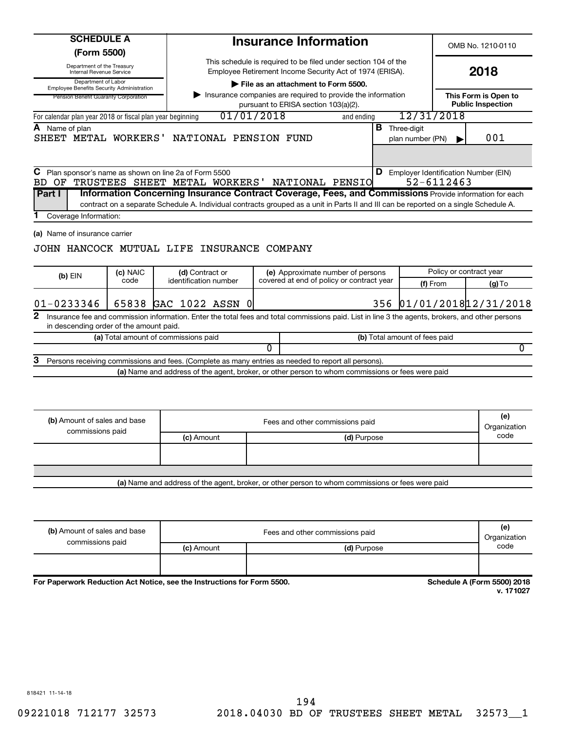| <b>SCHEDULE A</b>                                                            |          |                                                                                       | <b>Insurance Information</b>                                                                                                                                                                                                                                       |     |                                          |            | OMB No. 1210-0110                                |
|------------------------------------------------------------------------------|----------|---------------------------------------------------------------------------------------|--------------------------------------------------------------------------------------------------------------------------------------------------------------------------------------------------------------------------------------------------------------------|-----|------------------------------------------|------------|--------------------------------------------------|
| (Form 5500)<br>Department of the Treasury<br><b>Internal Revenue Service</b> |          |                                                                                       | This schedule is required to be filed under section 104 of the<br>Employee Retirement Income Security Act of 1974 (ERISA).                                                                                                                                         |     |                                          |            | 2018                                             |
| Department of Labor<br><b>Employee Benefits Security Administration</b>      |          |                                                                                       | File as an attachment to Form 5500.                                                                                                                                                                                                                                |     |                                          |            |                                                  |
| Pension Benefit Guaranty Corporation                                         |          |                                                                                       | Insurance companies are required to provide the information<br>pursuant to ERISA section 103(a)(2).                                                                                                                                                                |     |                                          |            | This Form is Open to<br><b>Public Inspection</b> |
| For calendar plan year 2018 or fiscal plan year beginning                    |          |                                                                                       | 01/01/2018<br>and ending                                                                                                                                                                                                                                           |     | 12/31/2018                               |            |                                                  |
| A Name of plan                                                               |          | SHEET METAL WORKERS' NATIONAL PENSION FUND                                            |                                                                                                                                                                                                                                                                    |     | <b>B</b> Three-digit<br>plan number (PN) |            | 001                                              |
| С<br>BD.<br>OF<br>Part I<br>Coverage Information:                            |          | Plan sponsor's name as shown on line 2a of Form 5500<br>TRUSTEES SHEET METAL WORKERS' | NATIONAL PENSIO<br>Information Concerning Insurance Contract Coverage, Fees, and Commissions Provide information for each<br>contract on a separate Schedule A. Individual contracts grouped as a unit in Parts II and III can be reported on a single Schedule A. |     |                                          | 52-6112463 | <b>D</b> Employer Identification Number (EIN)    |
| (a) Name of insurance carrier                                                | (c) NAIC | JOHN HANCOCK MUTUAL LIFE INSURANCE COMPANY<br>(d) Contract or                         | (e) Approximate number of persons                                                                                                                                                                                                                                  |     |                                          |            | Policy or contract year                          |
| (b) EIN                                                                      | code     | identification number                                                                 | covered at end of policy or contract year                                                                                                                                                                                                                          |     |                                          | (f) From   | $(g)$ To                                         |
| $01 - 0233346$<br>2                                                          |          | 65838 GAC 1022 ASSN 0                                                                 |                                                                                                                                                                                                                                                                    | 356 |                                          |            | 01/01/2018 12/31/2018                            |
| in descending order of the amount paid.                                      |          |                                                                                       | Insurance fee and commission information. Enter the total fees and total commissions paid. List in line 3 the agents, brokers, and other persons                                                                                                                   |     |                                          |            |                                                  |
|                                                                              |          | (a) Total amount of commissions paid                                                  |                                                                                                                                                                                                                                                                    |     | (b) Total amount of fees paid            |            |                                                  |
| з                                                                            |          |                                                                                       | 0                                                                                                                                                                                                                                                                  |     |                                          |            | 0                                                |
|                                                                              |          |                                                                                       | Persons receiving commissions and fees. (Complete as many entries as needed to report all persons).<br>(a) Name and address of the agent, broker, or other person to whom commissions or fees were paid                                                            |     |                                          |            |                                                  |
|                                                                              |          |                                                                                       |                                                                                                                                                                                                                                                                    |     |                                          |            |                                                  |
| (b) Amount of sales and base                                                 |          |                                                                                       | Fees and other commissions paid                                                                                                                                                                                                                                    |     |                                          |            | (e)<br>Organization                              |
| commissions paid                                                             |          | (c) Amount                                                                            | (d) Purpose                                                                                                                                                                                                                                                        |     |                                          |            | code                                             |
|                                                                              |          |                                                                                       |                                                                                                                                                                                                                                                                    |     |                                          |            |                                                  |
|                                                                              |          |                                                                                       | (a) Name and address of the agent, broker, or other person to whom commissions or fees were paid                                                                                                                                                                   |     |                                          |            |                                                  |
| (b) Amount of sales and base                                                 |          |                                                                                       | Fees and other commissions paid                                                                                                                                                                                                                                    |     |                                          |            | (e)                                              |

| (b) Amount of sales and base | Fees and other commissions paid |             | 151<br>Organization |
|------------------------------|---------------------------------|-------------|---------------------|
| commissions paid             | (c) Amount                      | (d) Purpose | code                |
|                              |                                 |             |                     |
|                              |                                 |             |                     |

For Paperwork Reduction Act Notice, see the Instructions for Form 5500.

**Schedule A (Form 5500) 2018**<br>v. 171027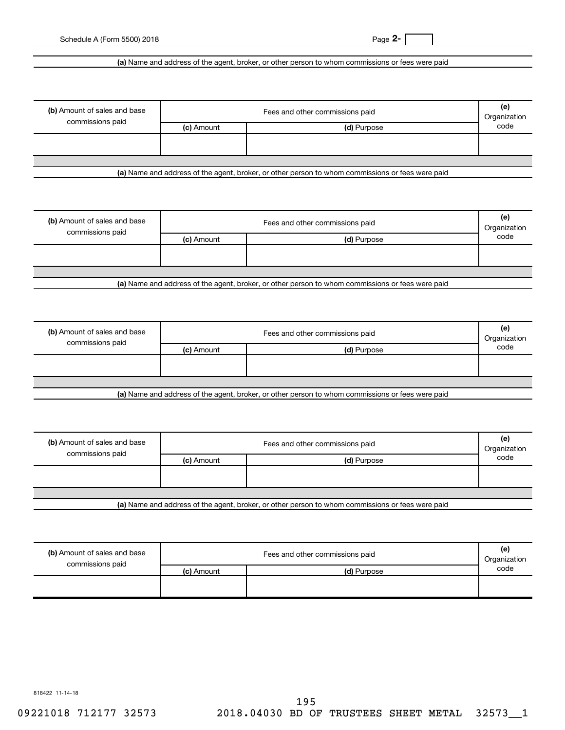**(a)**  Name and address of the agent, broker, or other person to whom commissions or fees were paid

| (b) Amount of sales and base<br>commissions paid | Fees and other commissions paid<br>Organization |             |      |
|--------------------------------------------------|-------------------------------------------------|-------------|------|
|                                                  | (c) Amount                                      | (d) Purpose | code |
|                                                  |                                                 |             |      |
|                                                  |                                                 |             |      |

**(a)**  Name and address of the agent, broker, or other person to whom commissions or fees were paid

| (b) Amount of sales and base<br>commissions paid | Fees and other commissions paid<br>Organization |             |      |
|--------------------------------------------------|-------------------------------------------------|-------------|------|
|                                                  | (c) Amount                                      | (d) Purpose | code |
|                                                  |                                                 |             |      |
|                                                  |                                                 |             |      |
|                                                  |                                                 |             |      |
| .                                                |                                                 | .<br>______ |      |

**(a)**  Name and address of the agent, broker, or other person to whom commissions or fees were paid

| (b) Amount of sales and base<br>commissions paid | Fees and other commissions paid |                                                                                                  | (e)<br>Organization |
|--------------------------------------------------|---------------------------------|--------------------------------------------------------------------------------------------------|---------------------|
|                                                  | (c) Amount                      | (d) Purpose                                                                                      | code                |
|                                                  |                                 |                                                                                                  |                     |
|                                                  |                                 |                                                                                                  |                     |
|                                                  |                                 |                                                                                                  |                     |
|                                                  |                                 | Let Name and address of the sample broker, as other person to whom commissions or fees were poid |                     |

**(a)**  Name and address of the agent, broker, or other person to whom commissions or fees were paid

| (b) Amount of sales and base<br>commissions paid | Fees and other commissions paid |                                                    |      |
|--------------------------------------------------|---------------------------------|----------------------------------------------------|------|
|                                                  | (c) Amount                      | (d) Purpose                                        | code |
|                                                  |                                 |                                                    |      |
|                                                  |                                 |                                                    |      |
|                                                  |                                 |                                                    |      |
| .                                                | $\sim$ $\sim$<br>.<br>.         | $\cdot$ $\cdot$<br>$\overline{\phantom{a}}$<br>. . |      |

**(a)**  Name and address of the agent, broker, or other person to whom commissions or fees were paid

| (b) Amount of sales and base<br>commissions paid |            | Fees and other commissions paid | (e)<br>Organization |
|--------------------------------------------------|------------|---------------------------------|---------------------|
|                                                  | (c) Amount | (d) Purpose                     | code                |
|                                                  |            |                                 |                     |

818422 11-14-18

09221018 712177 32573 2018.04030 BD OF TRUSTEES SHEET METAL 32573\_1 195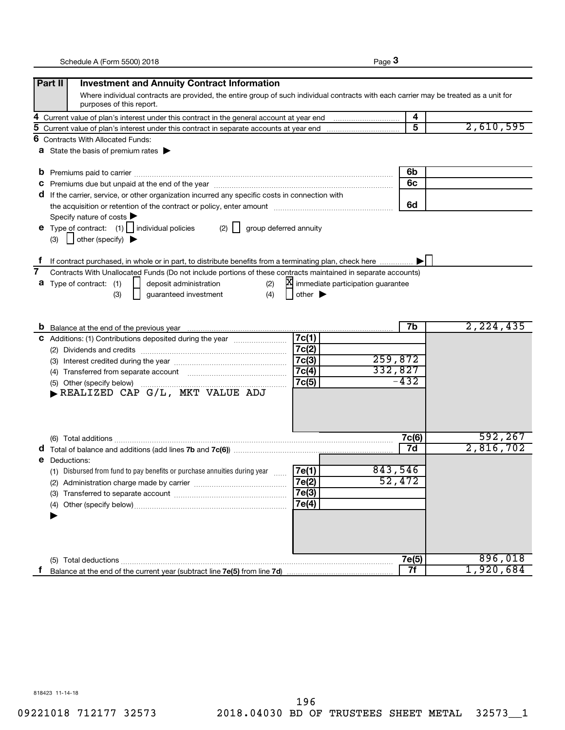|--|--|

|   | Part II<br><b>Investment and Annuity Contract Information</b>                                                                                                     |                             |                                     |           |
|---|-------------------------------------------------------------------------------------------------------------------------------------------------------------------|-----------------------------|-------------------------------------|-----------|
|   | Where individual contracts are provided, the entire group of such individual contracts with each carrier may be treated as a unit for<br>purposes of this report. |                             |                                     |           |
| 4 |                                                                                                                                                                   |                             | 4                                   |           |
| 5 |                                                                                                                                                                   |                             | 5                                   | 2,610,595 |
| 6 | <b>Contracts With Allocated Funds:</b>                                                                                                                            |                             |                                     |           |
|   | <b>a</b> State the basis of premium rates $\blacktriangleright$                                                                                                   |                             |                                     |           |
|   | b                                                                                                                                                                 |                             | 6b                                  |           |
|   | C                                                                                                                                                                 |                             | 6c                                  |           |
|   | d If the carrier, service, or other organization incurred any specific costs in connection with                                                                   |                             |                                     |           |
|   |                                                                                                                                                                   |                             | 6d                                  |           |
|   | Specify nature of costs                                                                                                                                           |                             |                                     |           |
|   | <b>e</b> Type of contract: $(1)$   individual policies<br>$(2)$                                                                                                   | group deferred annuity      |                                     |           |
|   | other (specify)<br>(3)                                                                                                                                            |                             |                                     |           |
|   |                                                                                                                                                                   |                             |                                     |           |
|   | If contract purchased, in whole or in part, to distribute benefits from a terminating plan, check here                                                            |                             |                                     |           |
| 7 | Contracts With Unallocated Funds (Do not include portions of these contracts maintained in separate accounts)                                                     |                             |                                     |           |
|   | Type of contract: (1)<br>deposit administration<br>(2)<br>а                                                                                                       |                             | X immediate participation guarantee |           |
|   | (4)<br>(3)<br>guaranteed investment                                                                                                                               | other $\blacktriangleright$ |                                     |           |
|   |                                                                                                                                                                   |                             |                                     |           |
|   |                                                                                                                                                                   |                             |                                     |           |
|   |                                                                                                                                                                   |                             | 7b                                  | 2,224,435 |
|   | C Additions: (1) Contributions deposited during the year manufactured.                                                                                            | 7c(1)                       |                                     |           |
|   |                                                                                                                                                                   | 7c(2)                       | 259,872                             |           |
|   |                                                                                                                                                                   | 7c(3)                       | 332,827                             |           |
|   | (4) Transferred from separate account [11] [11] Transferred from separate account                                                                                 | 7c(4)                       | $-432$                              |           |
|   | (5) Other (specify below)<br>REALIZED CAP G/L, MKT VALUE ADJ                                                                                                      | 7c(5)                       |                                     |           |
|   |                                                                                                                                                                   |                             |                                     |           |
|   |                                                                                                                                                                   |                             |                                     |           |
|   |                                                                                                                                                                   |                             |                                     |           |
|   |                                                                                                                                                                   |                             | 7c(6)                               | 592,267   |
|   |                                                                                                                                                                   |                             | 7d                                  | 2,816,702 |
|   | Deductions:<br>е                                                                                                                                                  |                             |                                     |           |
|   | (1) Disbursed from fund to pay benefits or purchase annuities during year                                                                                         | 7e(1)                       | 843,546                             |           |
|   | (2) Administration charge made by carrier                                                                                                                         | 7e(2)                       | 52,472                              |           |
|   |                                                                                                                                                                   | 7e(3)                       |                                     |           |
|   |                                                                                                                                                                   | 7e(4)                       |                                     |           |
|   |                                                                                                                                                                   |                             |                                     |           |
|   |                                                                                                                                                                   |                             |                                     |           |
|   |                                                                                                                                                                   |                             |                                     |           |
|   |                                                                                                                                                                   |                             |                                     |           |
|   |                                                                                                                                                                   |                             | 7e(5)                               | 896,018   |
|   |                                                                                                                                                                   |                             | 7f                                  | 1,920,684 |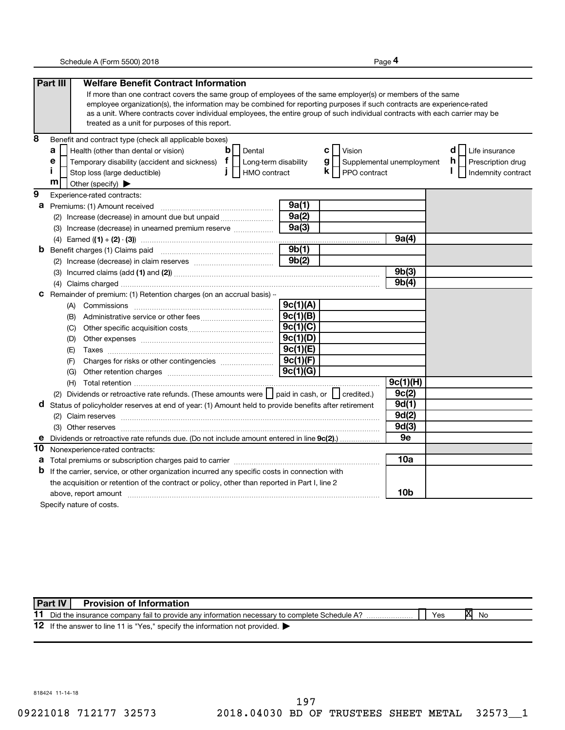**4**

|    | Part III<br><b>Welfare Benefit Contract Information</b>                                                                       |          |                                             |                 |                         |
|----|-------------------------------------------------------------------------------------------------------------------------------|----------|---------------------------------------------|-----------------|-------------------------|
|    | If more than one contract covers the same group of employees of the same employer(s) or members of the same                   |          |                                             |                 |                         |
|    | employee organization(s), the information may be combined for reporting purposes if such contracts are experience-rated       |          |                                             |                 |                         |
|    | as a unit. Where contracts cover individual employees, the entire group of such individual contracts with each carrier may be |          |                                             |                 |                         |
|    | treated as a unit for purposes of this report.                                                                                |          |                                             |                 |                         |
| 8  | Benefit and contract type (check all applicable boxes)                                                                        |          |                                             |                 |                         |
|    | a<br>Health (other than dental or vision)<br>$\mathbf b$<br>Dental                                                            |          | <b>C</b>   Vision                           |                 | d<br>Life insurance     |
|    | Temporary disability (accident and sickness) $f$<br>е<br>Long-term disability                                                 |          | $g \mid \cdot$<br>Supplemental unemployment |                 | h.<br>Prescription drug |
|    | п<br>HMO contract<br>Stop loss (large deductible)                                                                             |          | $\mathsf{k}$   PPO contract                 |                 | Indemnity contract      |
|    | m<br>Other (specify) $\blacktriangleright$                                                                                    |          |                                             |                 |                         |
| 9  | Experience-rated contracts:                                                                                                   |          |                                             |                 |                         |
| а  | Premiums: (1) Amount received                                                                                                 | 9a(1)    |                                             |                 |                         |
|    | (2) Increase (decrease) in amount due but unpaid                                                                              | 9a(2)    |                                             |                 |                         |
|    | (3) Increase (decrease) in unearned premium reserve                                                                           | 9a(3)    |                                             |                 |                         |
|    | (4)                                                                                                                           |          |                                             | 9a(4)           |                         |
| b  | Benefit charges (1) Claims paid                                                                                               | 9b(1)    |                                             |                 |                         |
|    |                                                                                                                               | 9b(2)    |                                             |                 |                         |
|    |                                                                                                                               |          |                                             | 9b(3)           |                         |
|    |                                                                                                                               |          |                                             | 9b(4)           |                         |
| С  | Remainder of premium: (1) Retention charges (on an accrual basis) -                                                           |          |                                             |                 |                         |
|    |                                                                                                                               | 9c(1)(A) |                                             |                 |                         |
|    |                                                                                                                               | 9c(1)(B) |                                             |                 |                         |
|    | (C)                                                                                                                           | 9c(1)(C) |                                             |                 |                         |
|    | (D)                                                                                                                           | 9c(1)(D) |                                             |                 |                         |
|    | (E)                                                                                                                           | 9c(1)(E) |                                             |                 |                         |
|    | (F)                                                                                                                           | 9c(1)(F) |                                             |                 |                         |
|    | (G)                                                                                                                           | 9c(1)(G) |                                             |                 |                         |
|    |                                                                                                                               |          |                                             | 9c(1)(H)        |                         |
|    | (2) Dividends or retroactive rate refunds. (These amounts were   paid in cash, or   credited.)                                |          |                                             | 9c(2)           |                         |
| d  | Status of policyholder reserves at end of year: (1) Amount held to provide benefits after retirement                          |          |                                             | 9d(1)           |                         |
|    |                                                                                                                               |          |                                             | 9d(2)           |                         |
|    |                                                                                                                               |          |                                             | 9d(3)           |                         |
|    | Dividends or retroactive rate refunds due. (Do not include amount entered in line 9c(2).)                                     |          |                                             | 9e              |                         |
| 10 | Nonexperience-rated contracts:                                                                                                |          |                                             |                 |                         |
| а  |                                                                                                                               |          |                                             | 10a             |                         |
| b  | If the carrier, service, or other organization incurred any specific costs in connection with                                 |          |                                             |                 |                         |
|    | the acquisition or retention of the contract or policy, other than reported in Part I, line 2                                 |          |                                             |                 |                         |
|    | above, report amount material content and a series and a series of the series of the series of the series and s               |          |                                             | 10 <sub>b</sub> |                         |
|    | Specify nature of costs.                                                                                                      |          |                                             |                 |                         |

11 Did the insurance company fail to provide any information necessary to complete Schedule A? 12 If the answer to line 11 is "Yes," specify the information not provided. **X No Part IV Provision of Information**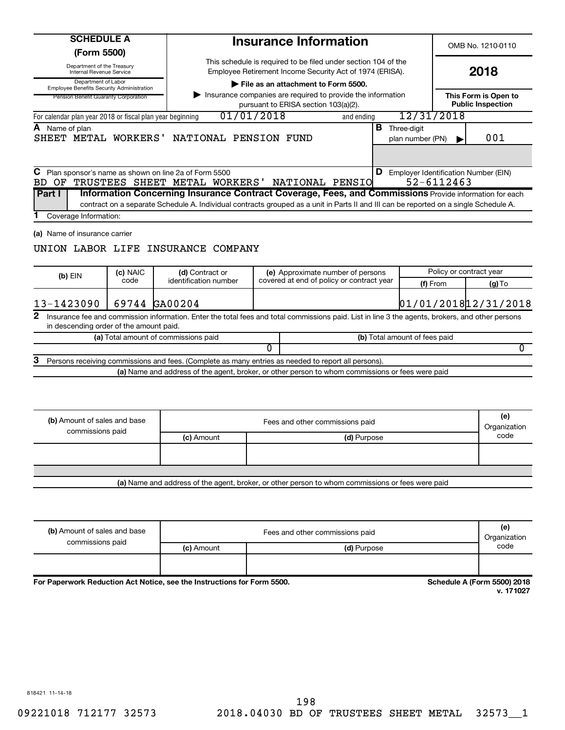| <b>SCHEDULE A</b><br>(Form 5500)                                                 |          |                                                                                                                                                         |                                                                                                                            | <b>Insurance Information</b>                                                                        |  |                                          |            | OMB No. 1210-0110                                |
|----------------------------------------------------------------------------------|----------|---------------------------------------------------------------------------------------------------------------------------------------------------------|----------------------------------------------------------------------------------------------------------------------------|-----------------------------------------------------------------------------------------------------|--|------------------------------------------|------------|--------------------------------------------------|
| Department of the Treasury<br>Internal Revenue Service                           |          |                                                                                                                                                         | This schedule is required to be filed under section 104 of the<br>Employee Retirement Income Security Act of 1974 (ERISA). |                                                                                                     |  |                                          | 2018       |                                                  |
| Department of Labor<br>Employee Benefits Security Administration                 |          |                                                                                                                                                         |                                                                                                                            | File as an attachment to Form 5500.                                                                 |  |                                          |            |                                                  |
| Pension Benefit Guaranty Corporation                                             |          |                                                                                                                                                         |                                                                                                                            | Insurance companies are required to provide the information<br>pursuant to ERISA section 103(a)(2). |  |                                          |            | This Form is Open to<br><b>Public Inspection</b> |
| For calendar plan year 2018 or fiscal plan year beginning                        |          | 01/01/2018                                                                                                                                              |                                                                                                                            | and ending                                                                                          |  | 12/31/2018                               |            |                                                  |
| <b>A</b> Name of plan<br>SHEET METAL WORKERS' NATIONAL PENSION FUND              |          |                                                                                                                                                         |                                                                                                                            |                                                                                                     |  | <b>B</b> Three-digit<br>plan number (PN) |            | 001                                              |
| $\,$ Plan sponsor's name as shown on line 2a of Form 5500<br>BD.<br>OF<br>Part I |          | TRUSTEES SHEET METAL WORKERS' NATIONAL PENSIO<br>Information Concerning Insurance Contract Coverage, Fees, and Commissions Provide information for each |                                                                                                                            |                                                                                                     |  |                                          | 52-6112463 | <b>D</b> Employer Identification Number (EIN)    |
| Coverage Information:                                                            |          | contract on a separate Schedule A. Individual contracts grouped as a unit in Parts II and III can be reported on a single Schedule A.                   |                                                                                                                            |                                                                                                     |  |                                          |            |                                                  |
| (a) Name of insurance carrier<br>UNION LABOR LIFE INSURANCE COMPANY              | (c) NAIC | (d) Contract or                                                                                                                                         |                                                                                                                            | (e) Approximate number of persons                                                                   |  |                                          |            | Policy or contract year                          |
| $(b)$ EIN                                                                        | code     | identification number                                                                                                                                   |                                                                                                                            | covered at end of policy or contract year                                                           |  | (f) From                                 |            | (g) To                                           |
| 13-1423090                                                                       |          | 69744 GA00204                                                                                                                                           |                                                                                                                            |                                                                                                     |  |                                          |            | 01/01/2018 12/31/2018                            |
| 2<br>in descending order of the amount paid.                                     |          | Insurance fee and commission information. Enter the total fees and total commissions paid. List in line 3 the agents, brokers, and other persons        |                                                                                                                            |                                                                                                     |  |                                          |            |                                                  |
|                                                                                  |          | (a) Total amount of commissions paid                                                                                                                    |                                                                                                                            |                                                                                                     |  | (b) Total amount of fees paid            |            |                                                  |
|                                                                                  |          |                                                                                                                                                         | 0                                                                                                                          |                                                                                                     |  |                                          |            | 0                                                |
| З                                                                                |          | Persons receiving commissions and fees. (Complete as many entries as needed to report all persons).                                                     |                                                                                                                            |                                                                                                     |  |                                          |            |                                                  |
|                                                                                  |          | (a) Name and address of the agent, broker, or other person to whom commissions or fees were paid                                                        |                                                                                                                            |                                                                                                     |  |                                          |            |                                                  |
| (b) Amount of sales and base<br>commissions paid                                 |          |                                                                                                                                                         |                                                                                                                            | Fees and other commissions paid                                                                     |  |                                          |            | (e)<br>Organization                              |
|                                                                                  |          | (c) Amount                                                                                                                                              |                                                                                                                            | (d) Purpose                                                                                         |  |                                          |            | code                                             |
|                                                                                  |          |                                                                                                                                                         |                                                                                                                            |                                                                                                     |  |                                          |            |                                                  |
|                                                                                  |          |                                                                                                                                                         |                                                                                                                            |                                                                                                     |  |                                          |            |                                                  |

| (b) Amount of sales and base<br>commissions paid |            | Fees and other commissions paid | (e)<br>Organization     |
|--------------------------------------------------|------------|---------------------------------|-------------------------|
|                                                  | (c) Amount | (d) Purpose                     | code                    |
|                                                  |            |                                 |                         |
| .                                                | .          | ------<br>----                  | $--- - - - - - - - - -$ |

For Paperwork Reduction Act Notice, see the Instructions for Form 5500.

**Schedule A (Form 5500) 2018**<br>v. 171027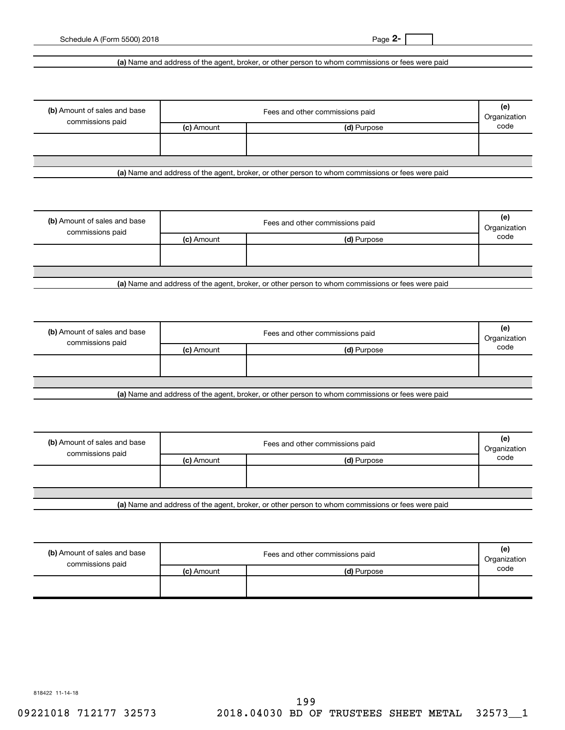## **(a)**  Name and address of the agent, broker, or other person to whom commissions or fees were paid

| (b) Amount of sales and base<br>commissions paid |            | Fees and other commissions paid | (e)<br>Organization |
|--------------------------------------------------|------------|---------------------------------|---------------------|
|                                                  | (c) Amount | (d) Purpose                     | code                |
|                                                  |            |                                 |                     |
|                                                  |            |                                 |                     |

**(a)**  Name and address of the agent, broker, or other person to whom commissions or fees were paid

| (b) Amount of sales and base<br>commissions paid | Fees and other commissions paid<br>Organization |             |      |
|--------------------------------------------------|-------------------------------------------------|-------------|------|
|                                                  | (c) Amount                                      | (d) Purpose | code |
|                                                  |                                                 |             |      |
|                                                  |                                                 |             |      |
| .                                                |                                                 |             |      |

**(a)**  Name and address of the agent, broker, or other person to whom commissions or fees were paid

| (b) Amount of sales and base |            | Fees and other commissions paid                                                                 | (e)<br>Organization |
|------------------------------|------------|-------------------------------------------------------------------------------------------------|---------------------|
| commissions paid             | (c) Amount | (d) Purpose                                                                                     | code                |
|                              |            |                                                                                                 |                     |
|                              |            |                                                                                                 |                     |
|                              |            |                                                                                                 |                     |
|                              |            | Let Name and address of the seart broker, as other person to whom commissions or face were poid |                     |

**(a)**  Name and address of the agent, broker, or other person to whom commissions or fees were paid

| (b) Amount of sales and base<br>commissions paid |                         | Fees and other commissions paid                    | (e)<br>Organization |
|--------------------------------------------------|-------------------------|----------------------------------------------------|---------------------|
|                                                  | (c) Amount              | (d) Purpose                                        | code                |
|                                                  |                         |                                                    |                     |
|                                                  |                         |                                                    |                     |
| .                                                | $\sim$ $\sim$<br>.<br>. | $\cdot$ $\cdot$<br>. .<br>$\overline{\phantom{a}}$ |                     |

**(a)**  Name and address of the agent, broker, or other person to whom commissions or fees were paid

| (b) Amount of sales and base<br>commissions paid |            | Fees and other commissions paid | (e)<br>Organization |
|--------------------------------------------------|------------|---------------------------------|---------------------|
|                                                  | (c) Amount | (d) Purpose                     | code                |
|                                                  |            |                                 |                     |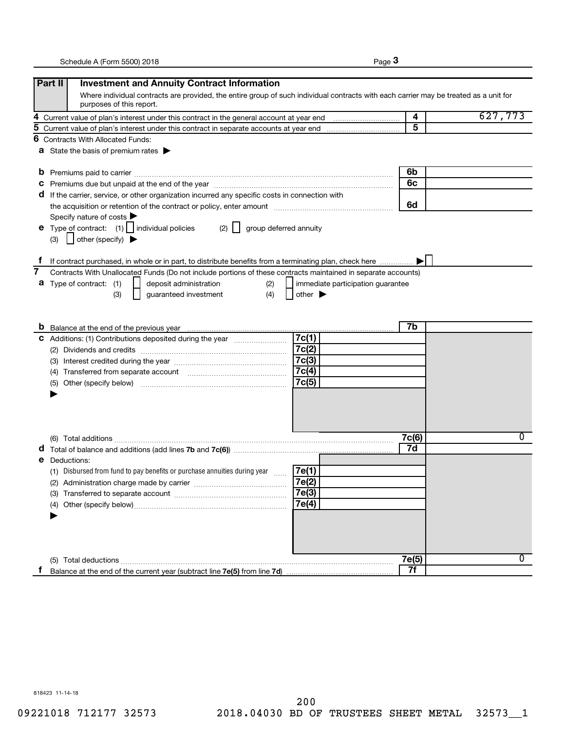|--|--|

| Where individual contracts are provided, the entire group of such individual contracts with each carrier may be treated as a unit for<br>627,773 |
|--------------------------------------------------------------------------------------------------------------------------------------------------|
|                                                                                                                                                  |
|                                                                                                                                                  |
|                                                                                                                                                  |
|                                                                                                                                                  |
|                                                                                                                                                  |
|                                                                                                                                                  |
|                                                                                                                                                  |
|                                                                                                                                                  |
|                                                                                                                                                  |
|                                                                                                                                                  |
|                                                                                                                                                  |
|                                                                                                                                                  |
|                                                                                                                                                  |
|                                                                                                                                                  |
|                                                                                                                                                  |
|                                                                                                                                                  |
|                                                                                                                                                  |
|                                                                                                                                                  |
|                                                                                                                                                  |
|                                                                                                                                                  |
|                                                                                                                                                  |
|                                                                                                                                                  |
|                                                                                                                                                  |
|                                                                                                                                                  |
|                                                                                                                                                  |
|                                                                                                                                                  |
|                                                                                                                                                  |
|                                                                                                                                                  |
|                                                                                                                                                  |
|                                                                                                                                                  |
| 0                                                                                                                                                |
|                                                                                                                                                  |
|                                                                                                                                                  |
|                                                                                                                                                  |
|                                                                                                                                                  |
|                                                                                                                                                  |
|                                                                                                                                                  |
|                                                                                                                                                  |
|                                                                                                                                                  |
|                                                                                                                                                  |
|                                                                                                                                                  |
| 0                                                                                                                                                |
|                                                                                                                                                  |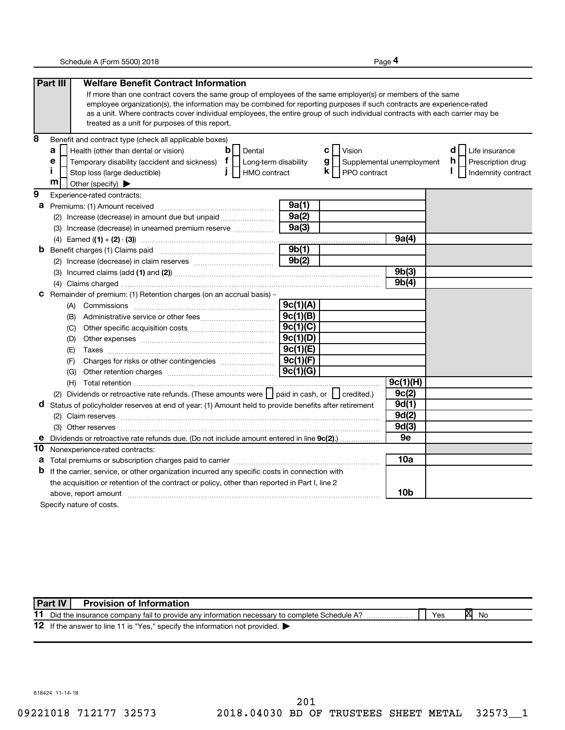**4**

|    | Part III<br><b>Welfare Benefit Contract Information</b>                                                                                                                                                                                                  |                      |                         |                           |                         |
|----|----------------------------------------------------------------------------------------------------------------------------------------------------------------------------------------------------------------------------------------------------------|----------------------|-------------------------|---------------------------|-------------------------|
|    | If more than one contract covers the same group of employees of the same employer(s) or members of the same                                                                                                                                              |                      |                         |                           |                         |
|    | employee organization(s), the information may be combined for reporting purposes if such contracts are experience-rated<br>as a unit. Where contracts cover individual employees, the entire group of such individual contracts with each carrier may be |                      |                         |                           |                         |
|    | treated as a unit for purposes of this report.                                                                                                                                                                                                           |                      |                         |                           |                         |
| 8  | Benefit and contract type (check all applicable boxes)                                                                                                                                                                                                   |                      |                         |                           |                         |
|    | a<br>Dental<br>Health (other than dental or vision)<br>b                                                                                                                                                                                                 |                      | сl<br>Vision            |                           | d<br>Life insurance     |
|    | Temporary disability (accident and sickness) $f$<br>е                                                                                                                                                                                                    | Long-term disability | $g \mid$                | Supplemental unemployment | h.<br>Prescription drug |
|    | HMO contract<br>Stop loss (large deductible)<br>$\mathbf{I}$                                                                                                                                                                                             |                      | $k$    <br>PPO contract |                           | Indemnity contract      |
|    | m<br>Other (specify) $\blacktriangleright$                                                                                                                                                                                                               |                      |                         |                           |                         |
| 9  | Experience-rated contracts:                                                                                                                                                                                                                              |                      |                         |                           |                         |
| а  | Premiums: (1) Amount received                                                                                                                                                                                                                            | 9a(1)                |                         |                           |                         |
|    | (2) Increase (decrease) in amount due but unpaid                                                                                                                                                                                                         | 9a(2)                |                         |                           |                         |
|    | (3) Increase (decrease) in unearned premium reserve                                                                                                                                                                                                      | 9a(3)                |                         |                           |                         |
|    |                                                                                                                                                                                                                                                          |                      |                         | 9a(4)                     |                         |
| b  |                                                                                                                                                                                                                                                          | $\sqrt{9b(1)}$       |                         |                           |                         |
|    |                                                                                                                                                                                                                                                          | 9b(2)                |                         |                           |                         |
|    |                                                                                                                                                                                                                                                          |                      |                         | 9b(3)                     |                         |
|    |                                                                                                                                                                                                                                                          |                      |                         | 9b(4)                     |                         |
| С  | Remainder of premium: (1) Retention charges (on an accrual basis) -                                                                                                                                                                                      |                      |                         |                           |                         |
|    |                                                                                                                                                                                                                                                          | 9c(1)(A)             |                         |                           |                         |
|    |                                                                                                                                                                                                                                                          | 9c(1)(B)             |                         |                           |                         |
|    | (C)                                                                                                                                                                                                                                                      | 9c(1)(C)             |                         |                           |                         |
|    | (D)                                                                                                                                                                                                                                                      | 9c(1)(D)             |                         |                           |                         |
|    | (E)                                                                                                                                                                                                                                                      | 9c(1)(E)             |                         |                           |                         |
|    | (F)                                                                                                                                                                                                                                                      | 9c(1)(F)             |                         |                           |                         |
|    | (G)                                                                                                                                                                                                                                                      | 9c(1)(G)             |                         |                           |                         |
|    |                                                                                                                                                                                                                                                          |                      |                         | 9c(1)(H)                  |                         |
|    | (2) Dividends or retroactive rate refunds. (These amounts were     paid in cash, or     credited.)                                                                                                                                                       |                      |                         | 9c(2)                     |                         |
| d  | Status of policyholder reserves at end of year: (1) Amount held to provide benefits after retirement                                                                                                                                                     |                      |                         | 9d(1)                     |                         |
|    |                                                                                                                                                                                                                                                          |                      |                         | 9d(2)                     |                         |
|    |                                                                                                                                                                                                                                                          |                      |                         | 9d(3)                     |                         |
|    | Dividends or retroactive rate refunds due. (Do not include amount entered in line 9c(2)                                                                                                                                                                  |                      |                         | 9e                        |                         |
| 10 | Nonexperience-rated contracts:                                                                                                                                                                                                                           |                      |                         |                           |                         |
| а  |                                                                                                                                                                                                                                                          |                      |                         | 10a                       |                         |
| b  | If the carrier, service, or other organization incurred any specific costs in connection with                                                                                                                                                            |                      |                         |                           |                         |
|    | the acquisition or retention of the contract or policy, other than reported in Part I, line 2                                                                                                                                                            |                      |                         |                           |                         |
|    | above, report amount material content and a series of the series of the series of the series of the series of the series of the series of the series of the series of the series of the series of the series of the series of                            |                      |                         | 10b                       |                         |
|    | Specify nature of costs.                                                                                                                                                                                                                                 |                      |                         |                           |                         |

11 Did the insurance company fail to provide any information necessary to complete Schedule A? 12 If the answer to line 11 is "Yes," specify the information not provided. **X No Part IV Provision of Information**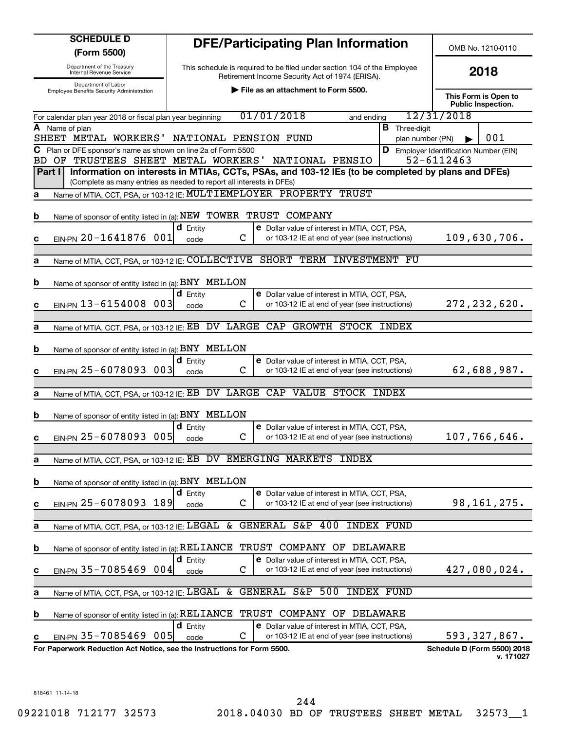| <b>SCHEDULE D</b>                                                          | <b>DFE/Participating Plan Information</b>                                                                                                                                 | OMB No. 1210-0110                                           |
|----------------------------------------------------------------------------|---------------------------------------------------------------------------------------------------------------------------------------------------------------------------|-------------------------------------------------------------|
| (Form 5500)<br>Department of the Treasury                                  | This schedule is required to be filed under section 104 of the Employee                                                                                                   |                                                             |
| Internal Revenue Service<br>Department of Labor                            | Retirement Income Security Act of 1974 (ERISA).                                                                                                                           | 2018                                                        |
| <b>Employee Benefits Security Administration</b>                           | File as an attachment to Form 5500.                                                                                                                                       | This Form is Open to<br><b>Public Inspection.</b>           |
| For calendar plan year 2018 or fiscal plan year beginning                  | 01/01/2018<br>and ending                                                                                                                                                  | 12/31/2018                                                  |
| A Name of plan<br>SHEET METAL WORKERS'                                     | <b>B</b> Three-digit<br>NATIONAL PENSION FUND<br>plan number (PN)                                                                                                         | 001                                                         |
| C Plan or DFE sponsor's name as shown on line 2a of Form 5500<br>BD.<br>OF | TRUSTEES SHEET METAL WORKERS'<br>NATIONAL PENSIO                                                                                                                          | <b>D</b> Employer Identification Number (EIN)<br>52-6112463 |
| Part I                                                                     | Information on interests in MTIAs, CCTs, PSAs, and 103-12 IEs (to be completed by plans and DFEs)<br>(Complete as many entries as needed to report all interests in DFEs) |                                                             |
| а                                                                          | Name of MTIA, CCT, PSA, or 103-12 IE: MULTIEMPLOYER PROPERTY TRUST                                                                                                        |                                                             |
| b                                                                          | Name of sponsor of entity listed in (a): NEW TOWER TRUST COMPANY                                                                                                          |                                                             |
| EIN-PN 20-1641876 001<br>c                                                 | $d$ Entity<br><b>e</b> Dollar value of interest in MTIA, CCT, PSA,<br>$\mathbf C$<br>or 103-12 IE at end of year (see instructions)<br>code                               | 109,630,706.                                                |
| а                                                                          | Name of MTIA, CCT, PSA, or 103-12 IE: COLLECTIVE SHORT TERM INVESTMENT FU                                                                                                 |                                                             |
| Name of sponsor of entity listed in (a): BNY MELLON<br>b                   |                                                                                                                                                                           |                                                             |
| EIN-PN 13-6154008 003<br>c                                                 | $d$ Entity<br><b>e</b> Dollar value of interest in MTIA, CCT, PSA,<br>$\mathbf C$<br>or 103-12 IE at end of year (see instructions)<br>code                               | 272, 232, 620.                                              |
|                                                                            |                                                                                                                                                                           |                                                             |
| a                                                                          | Name of MTIA, CCT, PSA, or 103-12 IE: EB DV LARGE CAP<br><b>GROWTH STOCK INDEX</b>                                                                                        |                                                             |
| Name of sponsor of entity listed in (a): BNY MELLON<br>b                   |                                                                                                                                                                           |                                                             |
| EIN-PN 25-6078093 003<br>c                                                 | $d$ Entity<br><b>e</b> Dollar value of interest in MTIA, CCT, PSA,<br>$\mathbf C$<br>or 103-12 IE at end of year (see instructions)<br>code                               | 62,688,987.                                                 |
|                                                                            |                                                                                                                                                                           |                                                             |
| а                                                                          | Name of MTIA, CCT, PSA, or 103-12 IE: EB DV LARGE CAP VALUE STOCK INDEX                                                                                                   |                                                             |
| Name of sponsor of entity listed in (a): BNY MELLON<br>b                   |                                                                                                                                                                           |                                                             |
| EIN-PN 25-6078093 005<br>С                                                 | <b>d</b> Entity<br><b>e</b> Dollar value of interest in MTIA, CCT, PSA,<br>C<br>or 103-12 IE at end of year (see instructions)<br>code                                    | 107,766,646.                                                |
|                                                                            |                                                                                                                                                                           |                                                             |
| Name of MTIA, CCT, PSA, or 103-12 IE: EB<br>а                              | <b>EMERGING MARKETS</b><br>DV<br><b>INDEX</b>                                                                                                                             |                                                             |
| Name of sponsor of entity listed in (a): BNY MELLON<br>b                   |                                                                                                                                                                           |                                                             |
| EIN-PN 25-6078093 189<br>c                                                 | $d$ Entity<br>e Dollar value of interest in MTIA, CCT, PSA,<br>C<br>or 103-12 IE at end of year (see instructions)<br>code                                                | 98, 161, 275.                                               |
|                                                                            |                                                                                                                                                                           |                                                             |
| Name of MTIA, CCT, PSA, or 103-12 IE: LEGAL<br>а                           | GENERAL S&P<br>400<br>INDEX FUND<br>&                                                                                                                                     |                                                             |
| Name of sponsor of entity listed in (a): RELIANCE<br>b                     | TRUST<br>COMPANY OF DELAWARE                                                                                                                                              |                                                             |
| EIN-PN 35-7085469 004<br>c                                                 | $d$ Entity<br><b>e</b> Dollar value of interest in MTIA, CCT, PSA,<br>С<br>or 103-12 IE at end of year (see instructions)<br>code                                         | 427,080,024.                                                |
|                                                                            |                                                                                                                                                                           |                                                             |
| Name of MTIA, CCT, PSA, or 103-12 IE: LEGAL<br>а                           | GENERAL S&P<br>500<br>INDEX FUND<br>&                                                                                                                                     |                                                             |
| Name of sponsor of entity listed in (a): RELIANCE<br>b                     | TRUST COMPANY OF DELAWARE                                                                                                                                                 |                                                             |
| EIN-PN 35-7085469 005<br>c                                                 | $d$ Entity<br><b>e</b> Dollar value of interest in MTIA, CCT, PSA,<br>С<br>or 103-12 IE at end of year (see instructions)<br>code                                         | 593,327,867.                                                |
| For Paperwork Reduction Act Notice, see the Instructions for Form 5500.    |                                                                                                                                                                           | Schedule D (Form 5500) 2018<br>v. 171027                    |
|                                                                            |                                                                                                                                                                           |                                                             |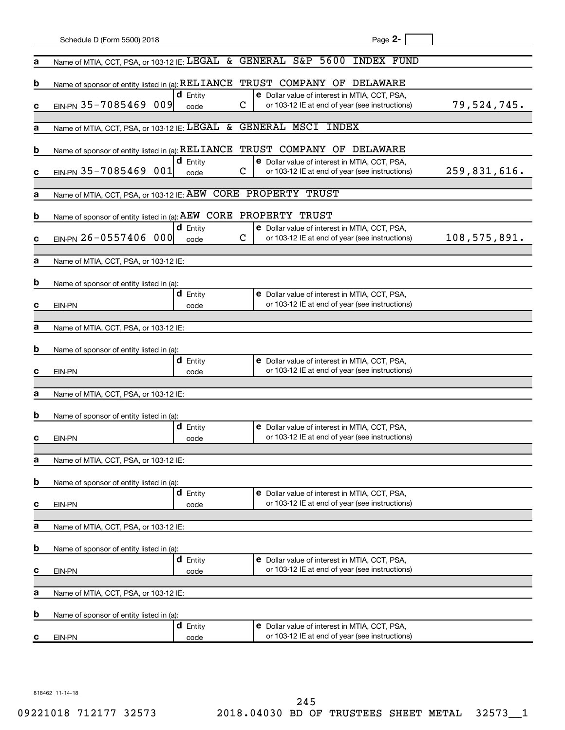|   | Schedule D (Form 5500) 2018                                      |                         |                    | Page 2-                                                                                                |              |
|---|------------------------------------------------------------------|-------------------------|--------------------|--------------------------------------------------------------------------------------------------------|--------------|
|   |                                                                  |                         |                    |                                                                                                        |              |
| а | Name of MTIA, CCT, PSA, or 103-12 IE: LEGAL & GENERAL S&P 5600   |                         |                    | INDEX FUND                                                                                             |              |
| b | Name of sponsor of entity listed in (a): RELIANCE                |                         |                    | TRUST COMPANY OF DELAWARE                                                                              |              |
| c | EIN-PN 35-7085469 009                                            | $d$ Entity<br>code      |                    | <b>e</b> Dollar value of interest in MTIA, CCT, PSA,<br>or 103-12 IE at end of year (see instructions) | 79,524,745.  |
| а | Name of MTIA, CCT, PSA, or 103-12 IE: LEGAL &                    |                         | GENERAL MSCI INDEX |                                                                                                        |              |
|   |                                                                  |                         |                    |                                                                                                        |              |
| b | Name of sponsor of entity listed in (a): RELIANCE                | $d$ Entity              |                    | TRUST COMPANY OF DELAWARE<br><b>e</b> Dollar value of interest in MTIA, CCT, PSA,                      |              |
| c | EIN-PN 35-7085469 001                                            | code                    |                    | or 103-12 IE at end of year (see instructions)                                                         | 259,831,616. |
|   |                                                                  |                         |                    |                                                                                                        |              |
| а | Name of MTIA, CCT, PSA, or 103-12 IE: AEW CORE PROPERTY TRUST    |                         |                    |                                                                                                        |              |
| b | Name of sponsor of entity listed in (a): AEW CORE PROPERTY TRUST |                         |                    |                                                                                                        |              |
|   |                                                                  | $d$ Entity              |                    | <b>e</b> Dollar value of interest in MTIA, CCT, PSA,                                                   |              |
| c | EIN-PN 26-0557406 000                                            | code                    |                    | or 103-12 IE at end of year (see instructions)                                                         | 108,575,891. |
| а | Name of MTIA, CCT, PSA, or 103-12 IE:                            |                         |                    |                                                                                                        |              |
|   |                                                                  |                         |                    |                                                                                                        |              |
| b | Name of sponsor of entity listed in (a):                         |                         |                    |                                                                                                        |              |
|   |                                                                  | <b>d</b> Entity         |                    | <b>e</b> Dollar value of interest in MTIA, CCT, PSA,                                                   |              |
| с | <b>EIN-PN</b>                                                    | code                    |                    | or 103-12 IE at end of year (see instructions)                                                         |              |
|   |                                                                  |                         |                    |                                                                                                        |              |
| а | Name of MTIA, CCT, PSA, or 103-12 IE:                            |                         |                    |                                                                                                        |              |
| b | Name of sponsor of entity listed in (a):                         |                         |                    |                                                                                                        |              |
|   |                                                                  | <b>d</b> Entity         |                    | <b>e</b> Dollar value of interest in MTIA, CCT, PSA,                                                   |              |
| с | <b>EIN-PN</b>                                                    | code                    |                    | or 103-12 IE at end of year (see instructions)                                                         |              |
|   |                                                                  |                         |                    |                                                                                                        |              |
| а | Name of MTIA, CCT, PSA, or 103-12 IE:                            |                         |                    |                                                                                                        |              |
| b | Name of sponsor of entity listed in (a):                         |                         |                    |                                                                                                        |              |
|   |                                                                  | <b>d</b> Entity         |                    | <b>e</b> Dollar value of interest in MTIA, CCT, PSA,                                                   |              |
| с | <b>EIN-PN</b>                                                    | code                    |                    | or 103-12 IE at end of year (see instructions)                                                         |              |
| а |                                                                  |                         |                    |                                                                                                        |              |
|   | Name of MTIA, CCT, PSA, or 103-12 IE:                            |                         |                    |                                                                                                        |              |
| b | Name of sponsor of entity listed in (a):                         |                         |                    |                                                                                                        |              |
| с | EIN-PN                                                           | <b>d</b> Entity<br>code |                    | e Dollar value of interest in MTIA, CCT, PSA,<br>or 103-12 IE at end of year (see instructions)        |              |
|   |                                                                  |                         |                    |                                                                                                        |              |
| а | Name of MTIA, CCT, PSA, or 103-12 IE:                            |                         |                    |                                                                                                        |              |
|   |                                                                  |                         |                    |                                                                                                        |              |
| b | Name of sponsor of entity listed in (a):                         | <b>d</b> Entity         |                    | e Dollar value of interest in MTIA, CCT, PSA,                                                          |              |
| с | EIN-PN                                                           | code                    |                    | or 103-12 IE at end of year (see instructions)                                                         |              |
|   |                                                                  |                         |                    |                                                                                                        |              |
| а | Name of MTIA, CCT, PSA, or 103-12 IE:                            |                         |                    |                                                                                                        |              |
| b | Name of sponsor of entity listed in (a):                         |                         |                    |                                                                                                        |              |
|   |                                                                  | <b>d</b> Entity         |                    | <b>e</b> Dollar value of interest in MTIA, CCT, PSA,                                                   |              |
| С | EIN-PN                                                           | code                    |                    | or 103-12 IE at end of year (see instructions)                                                         |              |
|   |                                                                  |                         |                    |                                                                                                        |              |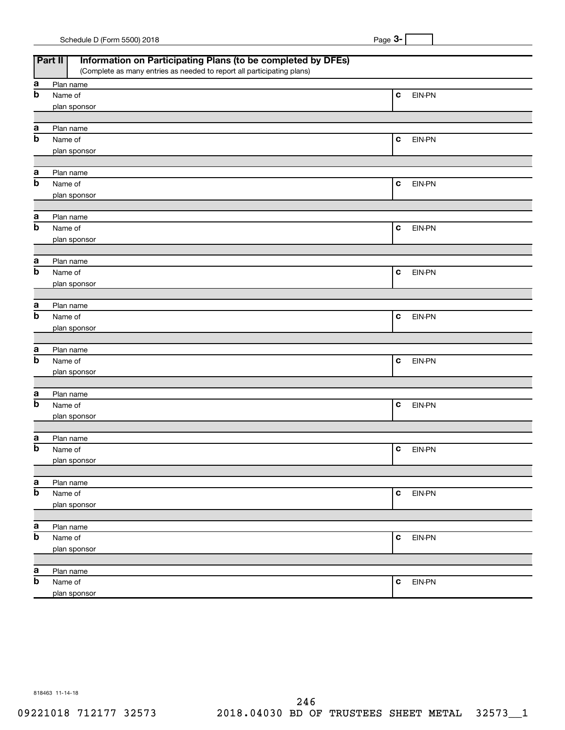| Schedule D (Form 5500) 2018 |  | Page |  |
|-----------------------------|--|------|--|
|                             |  |      |  |

|                  | Information on Participating Plans (to be completed by DFEs)<br>Part II |                       |
|------------------|-------------------------------------------------------------------------|-----------------------|
|                  | (Complete as many entries as needed to report all participating plans)  |                       |
| а<br>$\mathbf b$ | Plan name                                                               |                       |
|                  | Name of                                                                 | C<br>EIN-PN           |
|                  | plan sponsor                                                            |                       |
| а                | Plan name                                                               |                       |
| $\mathbf b$      | Name of                                                                 | C<br>EIN-PN           |
|                  | plan sponsor                                                            |                       |
| а                | Plan name                                                               |                       |
| $\mathbf b$      | Name of                                                                 | C<br>EIN-PN           |
|                  | plan sponsor                                                            |                       |
|                  |                                                                         |                       |
| а                | Plan name                                                               |                       |
| $\mathbf b$      | Name of                                                                 | C<br>EIN-PN           |
|                  | plan sponsor                                                            |                       |
| а                | Plan name                                                               |                       |
| $\mathbf b$      | Name of                                                                 | C<br>EIN-PN           |
|                  | plan sponsor                                                            |                       |
|                  |                                                                         |                       |
| а                | Plan name                                                               |                       |
| $\mathbf b$      | Name of                                                                 | C<br>EIN-PN           |
|                  | plan sponsor                                                            |                       |
| а                | Plan name                                                               |                       |
| $\mathbf b$      | Name of                                                                 | C<br>EIN-PN           |
|                  | plan sponsor                                                            |                       |
|                  |                                                                         |                       |
| а                | Plan name                                                               |                       |
| $\mathbf b$      | Name of                                                                 | C<br>EIN-PN           |
|                  | plan sponsor                                                            |                       |
|                  |                                                                         |                       |
| а<br>b           | Plan name                                                               |                       |
|                  | Name of                                                                 | C<br>EIN-PN           |
|                  | plan sponsor                                                            |                       |
| a                | Plan name                                                               |                       |
| b                | Name of                                                                 | $\mathbf c$<br>EIN-PN |
|                  | plan sponsor                                                            |                       |
|                  |                                                                         |                       |
| a                | Plan name                                                               |                       |
| b                | Name of                                                                 | $\mathbf c$<br>EIN-PN |
|                  | plan sponsor                                                            |                       |
| a                | Plan name                                                               |                       |
| b                | Name of                                                                 | $\mathbf c$<br>EIN-PN |
|                  | plan sponsor                                                            |                       |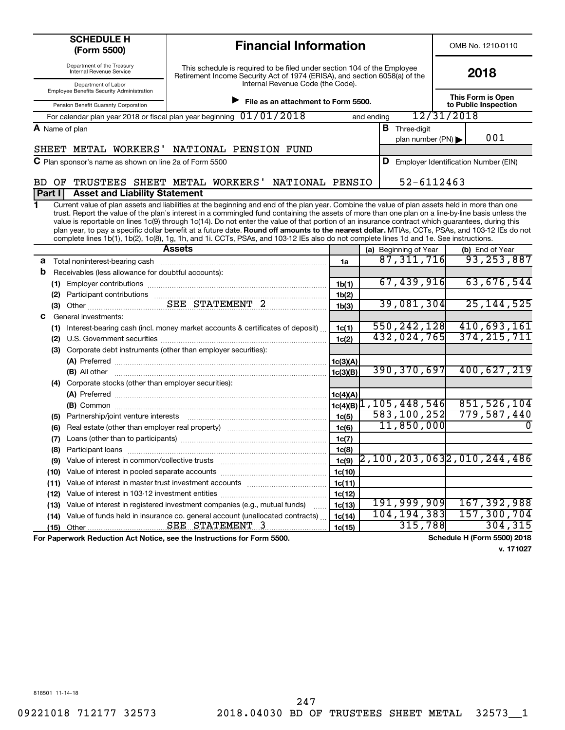| <b>SCHEDULE H</b><br>(Form 5500)                                        | <b>Financial Information</b>                                                                                                                                                                                                                                                                                                                                                                                                                                                                                                                                                                                                                                                                                                                          |                    |            |                                                    |                                    | OMB No. 1210-0110                         |     |          |
|-------------------------------------------------------------------------|-------------------------------------------------------------------------------------------------------------------------------------------------------------------------------------------------------------------------------------------------------------------------------------------------------------------------------------------------------------------------------------------------------------------------------------------------------------------------------------------------------------------------------------------------------------------------------------------------------------------------------------------------------------------------------------------------------------------------------------------------------|--------------------|------------|----------------------------------------------------|------------------------------------|-------------------------------------------|-----|----------|
| Department of the Treasury<br><b>Internal Revenue Service</b>           | This schedule is required to be filed under section 104 of the Employee<br>Retirement Income Security Act of 1974 (ERISA), and section 6058(a) of the                                                                                                                                                                                                                                                                                                                                                                                                                                                                                                                                                                                                 |                    |            |                                                    | 2018                               |                                           |     |          |
| Department of Labor<br>Employee Benefits Security Administration        | Internal Revenue Code (the Code).                                                                                                                                                                                                                                                                                                                                                                                                                                                                                                                                                                                                                                                                                                                     |                    |            |                                                    |                                    |                                           |     |          |
| Pension Benefit Guaranty Corporation                                    | File as an attachment to Form 5500.                                                                                                                                                                                                                                                                                                                                                                                                                                                                                                                                                                                                                                                                                                                   |                    |            |                                                    |                                    | This Form is Open<br>to Public Inspection |     |          |
|                                                                         | For calendar plan year 2018 or fiscal plan year beginning 01/01/2018                                                                                                                                                                                                                                                                                                                                                                                                                                                                                                                                                                                                                                                                                  |                    | and ending |                                                    | 12/31/2018                         |                                           |     |          |
| A Name of plan                                                          |                                                                                                                                                                                                                                                                                                                                                                                                                                                                                                                                                                                                                                                                                                                                                       |                    |            | <b>B</b> Three-digit                               |                                    |                                           |     |          |
|                                                                         |                                                                                                                                                                                                                                                                                                                                                                                                                                                                                                                                                                                                                                                                                                                                                       |                    |            | plan number (PN) $\blacktriangleright$             |                                    |                                           | 001 |          |
|                                                                         | SHEET METAL WORKERS' NATIONAL PENSION FUND                                                                                                                                                                                                                                                                                                                                                                                                                                                                                                                                                                                                                                                                                                            |                    |            |                                                    |                                    |                                           |     |          |
| C Plan sponsor's name as shown on line 2a of Form 5500                  |                                                                                                                                                                                                                                                                                                                                                                                                                                                                                                                                                                                                                                                                                                                                                       |                    |            | <b>D</b> Employer Identification Number (EIN)      |                                    |                                           |     |          |
| OF<br>BD.                                                               | TRUSTEES SHEET METAL WORKERS'<br>NATIONAL PENSIO                                                                                                                                                                                                                                                                                                                                                                                                                                                                                                                                                                                                                                                                                                      |                    |            | 52-6112463                                         |                                    |                                           |     |          |
| <b>Asset and Liability Statement</b><br>Part I                          |                                                                                                                                                                                                                                                                                                                                                                                                                                                                                                                                                                                                                                                                                                                                                       |                    |            |                                                    |                                    |                                           |     |          |
| 1                                                                       | Current value of plan assets and liabilities at the beginning and end of the plan year. Combine the value of plan assets held in more than one<br>trust. Report the value of the plan's interest in a commingled fund containing the assets of more than one plan on a line-by-line basis unless the<br>value is reportable on lines 1c(9) through 1c(14). Do not enter the value of that portion of an insurance contract which guarantees, during this<br>plan year, to pay a specific dollar benefit at a future date. Round off amounts to the nearest dollar. MTIAs, CCTs, PSAs, and 103-12 IEs do not<br>complete lines 1b(1), 1b(2), 1c(8), 1g, 1h, and 1i. CCTs, PSAs, and 103-12 IEs also do not complete lines 1d and 1e. See instructions. |                    |            |                                                    |                                    |                                           |     |          |
|                                                                         | <b>Assets</b>                                                                                                                                                                                                                                                                                                                                                                                                                                                                                                                                                                                                                                                                                                                                         |                    |            | (a) Beginning of Year                              |                                    | (b) End of Year                           |     |          |
| Total noninterest-bearing cash<br>а                                     |                                                                                                                                                                                                                                                                                                                                                                                                                                                                                                                                                                                                                                                                                                                                                       | 1a                 |            | $\overline{87,311,716}$                            |                                    | 93, 253, 887                              |     |          |
| b<br>Receivables (less allowance for doubtful accounts):                |                                                                                                                                                                                                                                                                                                                                                                                                                                                                                                                                                                                                                                                                                                                                                       |                    |            |                                                    |                                    |                                           |     |          |
|                                                                         |                                                                                                                                                                                                                                                                                                                                                                                                                                                                                                                                                                                                                                                                                                                                                       | 1 <sub>b</sub> (1) |            | 67,439,916                                         |                                    | 63,676,544                                |     |          |
|                                                                         |                                                                                                                                                                                                                                                                                                                                                                                                                                                                                                                                                                                                                                                                                                                                                       | 1b(2)              |            | 39,081,304                                         |                                    | 25, 144, 525                              |     |          |
|                                                                         |                                                                                                                                                                                                                                                                                                                                                                                                                                                                                                                                                                                                                                                                                                                                                       | 1 <sub>b</sub> (3) |            |                                                    |                                    |                                           |     |          |
| General investments:<br>С                                               |                                                                                                                                                                                                                                                                                                                                                                                                                                                                                                                                                                                                                                                                                                                                                       |                    |            | 550, 242, 128                                      |                                    | 410,693,161                               |     |          |
|                                                                         | (1) Interest-bearing cash (incl. money market accounts & certificates of deposit)                                                                                                                                                                                                                                                                                                                                                                                                                                                                                                                                                                                                                                                                     | 1c(1)              |            | 432,024,765                                        |                                    | 374, 215, 711                             |     |          |
| (2)<br>(3)                                                              | Corporate debt instruments (other than employer securities):                                                                                                                                                                                                                                                                                                                                                                                                                                                                                                                                                                                                                                                                                          | 1c(2)              |            |                                                    |                                    |                                           |     |          |
|                                                                         |                                                                                                                                                                                                                                                                                                                                                                                                                                                                                                                                                                                                                                                                                                                                                       | 1c(3)(A)           |            |                                                    |                                    |                                           |     |          |
|                                                                         |                                                                                                                                                                                                                                                                                                                                                                                                                                                                                                                                                                                                                                                                                                                                                       | 1c(3)(B)           |            | 390, 370, 697                                      |                                    | 400,627,219                               |     |          |
| (4) Corporate stocks (other than employer securities):                  |                                                                                                                                                                                                                                                                                                                                                                                                                                                                                                                                                                                                                                                                                                                                                       |                    |            |                                                    |                                    |                                           |     |          |
|                                                                         |                                                                                                                                                                                                                                                                                                                                                                                                                                                                                                                                                                                                                                                                                                                                                       | 1c(4)(A)           |            |                                                    |                                    |                                           |     |          |
|                                                                         |                                                                                                                                                                                                                                                                                                                                                                                                                                                                                                                                                                                                                                                                                                                                                       |                    |            | $1c(4)(B)$ <sup>1</sup> , 105, 448, 546            |                                    | 851, 526, 104                             |     |          |
| (5)                                                                     |                                                                                                                                                                                                                                                                                                                                                                                                                                                                                                                                                                                                                                                                                                                                                       | 1c(5)              |            | 583,100,252                                        |                                    | 779,587,440                               |     |          |
| (6)                                                                     |                                                                                                                                                                                                                                                                                                                                                                                                                                                                                                                                                                                                                                                                                                                                                       | 1c(6)              |            | 11,850,000                                         |                                    |                                           |     | $\Omega$ |
| (7)                                                                     |                                                                                                                                                                                                                                                                                                                                                                                                                                                                                                                                                                                                                                                                                                                                                       | 1c(7)              |            |                                                    |                                    |                                           |     |          |
| Participant loans<br>(8)                                                |                                                                                                                                                                                                                                                                                                                                                                                                                                                                                                                                                                                                                                                                                                                                                       | 1c(8)              |            |                                                    |                                    |                                           |     |          |
| Value of interest in common/collective trusts<br>(9)                    |                                                                                                                                                                                                                                                                                                                                                                                                                                                                                                                                                                                                                                                                                                                                                       | 1c(9)              |            | $\left[ 2\,,100\,,203\,,063 \right]$ 2,010,244,486 |                                    |                                           |     |          |
| Value of interest in pooled separate accounts<br>(10)                   |                                                                                                                                                                                                                                                                                                                                                                                                                                                                                                                                                                                                                                                                                                                                                       | 1c(10)             |            |                                                    |                                    |                                           |     |          |
| Value of interest in master trust investment accounts<br>(11)           |                                                                                                                                                                                                                                                                                                                                                                                                                                                                                                                                                                                                                                                                                                                                                       | 1c(11)             |            |                                                    |                                    |                                           |     |          |
| (12)                                                                    | Value of interest in 103-12 investment entities                                                                                                                                                                                                                                                                                                                                                                                                                                                                                                                                                                                                                                                                                                       | 1c(12)             |            |                                                    |                                    |                                           |     |          |
| (13)                                                                    | Value of interest in registered investment companies (e.g., mutual funds)                                                                                                                                                                                                                                                                                                                                                                                                                                                                                                                                                                                                                                                                             | <u>1c(13)</u>      |            | 191,999,909                                        |                                    | 167, 392, 988                             |     |          |
| (14)                                                                    | Value of funds held in insurance co. general account (unallocated contracts)                                                                                                                                                                                                                                                                                                                                                                                                                                                                                                                                                                                                                                                                          | 1c(14)             |            | 104, 194, 383                                      |                                    | 157,300,704                               |     |          |
| Other<br>(15)                                                           | SEE STATEMENT 3                                                                                                                                                                                                                                                                                                                                                                                                                                                                                                                                                                                                                                                                                                                                       | 1c(15)             |            | 315,788                                            |                                    |                                           |     | 304,315  |
| For Paperwork Reduction Act Notice, see the Instructions for Form 5500. |                                                                                                                                                                                                                                                                                                                                                                                                                                                                                                                                                                                                                                                                                                                                                       |                    |            |                                                    | <b>Schedule H (Form 5500) 2018</b> |                                           |     |          |

**v. 171027**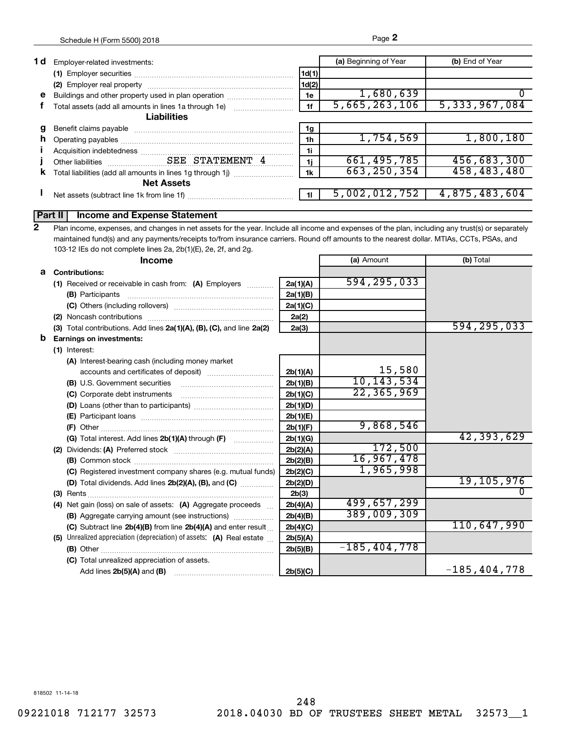| 1 d | Employer-related investments:                         |       | (a) Beginning of Year | (b) End of Year  |
|-----|-------------------------------------------------------|-------|-----------------------|------------------|
|     |                                                       | 1d(1) |                       |                  |
|     |                                                       | 1d(2) |                       |                  |
| e   | Buildings and other property used in plan operation   | 1e    | 1,680,639             |                  |
|     | Total assets (add all amounts in lines 1a through 1e) | 1f    | 5,665,263,106         | 5, 333, 967, 084 |
|     | <b>Liabilities</b>                                    |       |                       |                  |
|     |                                                       | 1g    |                       |                  |
| n   |                                                       | 1h    | 1,754,569             | 1,800,180        |
|     |                                                       | 1i    |                       |                  |
|     |                                                       | 1i    | 661, 495, 785         | 456,683,300      |
| κ   |                                                       | 1k    | 663, 250, 354         | 458,483,480      |
|     | <b>Net Assets</b>                                     |       |                       |                  |
|     | Net assets (subtract line 1k from line 1f)            |       | 5,002,012,752         | 4,875,483,604    |
|     |                                                       |       |                       |                  |

## **Part II Income and Expense Statement**

Plan income, expenses, and changes in net assets for the year. Include all income and expenses of the plan, including any trust(s) or separately maintained fund(s) and any payments/receipts to/from insurance carriers. Round off amounts to the nearest dollar. MTIAs, CCTs, PSAs, and 103-12 IEs do not complete lines 2a, 2b(1)(E), 2e, 2f, and 2g. **2**

|   | <b>Income</b>                                                         |          | (a) Amount       | (b) Total        |
|---|-----------------------------------------------------------------------|----------|------------------|------------------|
|   | <b>a</b> Contributions:                                               |          |                  |                  |
|   | (1) Received or receivable in cash from: (A) Employers                | 2a(1)(A) | 594, 295, 033    |                  |
|   |                                                                       | 2a(1)(B) |                  |                  |
|   |                                                                       | 2a(1)(C) |                  |                  |
|   |                                                                       | 2a(2)    |                  |                  |
|   | (3) Total contributions. Add lines 2a(1)(A), (B), (C), and line 2a(2) | 2a(3)    |                  | 594, 295, 033    |
| b | <b>Earnings on investments:</b>                                       |          |                  |                  |
|   | (1) Interest:                                                         |          |                  |                  |
|   | (A) Interest-bearing cash (including money market                     |          |                  |                  |
|   |                                                                       | 2b(1)(A) | 15,580           |                  |
|   | (B) U.S. Government securities                                        | 2b(1)(B) | 10,143,534       |                  |
|   | (C) Corporate debt instruments                                        | 2b(1)(C) | 22, 365, 969     |                  |
|   |                                                                       | 2b(1)(D) |                  |                  |
|   |                                                                       | 2b(1)(E) |                  |                  |
|   |                                                                       | 2b(1)(F) | 9,868,546        |                  |
|   |                                                                       | 2b(1)(G) |                  | 42,393,629       |
|   |                                                                       | 2b(2)(A) | 172,500          |                  |
|   |                                                                       | 2b(2)(B) | 16,967,478       |                  |
|   | (C) Registered investment company shares (e.g. mutual funds)          | 2b(2)(C) | 1,965,998        |                  |
|   | (D) Total dividends. Add lines 2b(2)(A), (B), and (C)                 | 2b(2)(D) |                  | 19,105,976       |
|   |                                                                       | 2b(3)    |                  |                  |
|   | (4) Net gain (loss) on sale of assets: (A) Aggregate proceeds         | 2b(4)(A) | 499,657,299      |                  |
|   | (B) Aggregate carrying amount (see instructions)                      | 2b(4)(B) | 389,009,309      |                  |
|   | (C) Subtract line 2b(4)(B) from line 2b(4)(A) and enter result        | 2b(4)(C) |                  | 110,647,990      |
|   | (5) Unrealized appreciation (depreciation) of assets: (A) Real estate | 2b(5)(A) |                  |                  |
|   |                                                                       | 2b(5)(B) | $-185, 404, 778$ |                  |
|   | (C) Total unrealized appreciation of assets.                          |          |                  |                  |
|   |                                                                       | 2b(5)(C) |                  | $-185, 404, 778$ |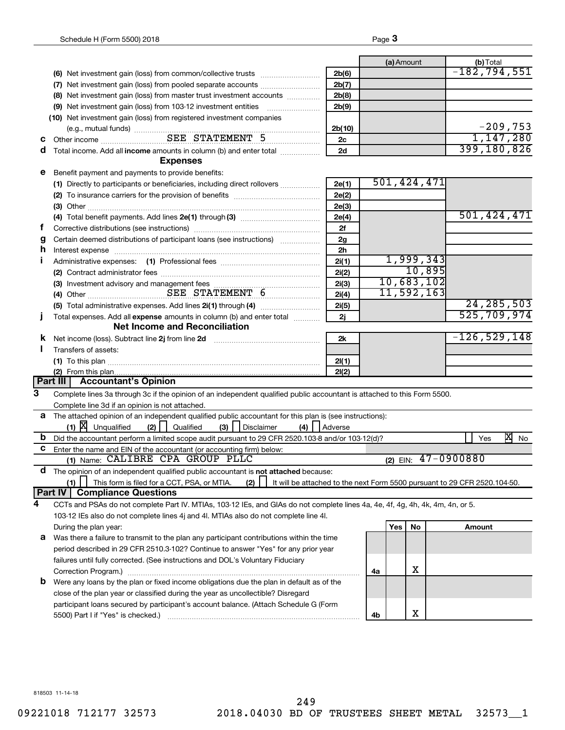|                |                                                                                                                                                                                                                                                        |                 |    | (a) Amount |             | (b) Total                                                                 |
|----------------|--------------------------------------------------------------------------------------------------------------------------------------------------------------------------------------------------------------------------------------------------------|-----------------|----|------------|-------------|---------------------------------------------------------------------------|
|                |                                                                                                                                                                                                                                                        | 2b(6)           |    |            |             | $-182, 794, 551$                                                          |
|                | (7) Net investment gain (loss) from pooled separate accounts                                                                                                                                                                                           | 2b(7)           |    |            |             |                                                                           |
|                | (8) Net investment gain (loss) from master trust investment accounts                                                                                                                                                                                   | 2b(8)           |    |            |             |                                                                           |
|                |                                                                                                                                                                                                                                                        | 2b(9)           |    |            |             |                                                                           |
|                | (10) Net investment gain (loss) from registered investment companies                                                                                                                                                                                   |                 |    |            |             |                                                                           |
|                | (e.g., mutual funds)<br>Other income<br>Cuber income<br>Cuber income<br>Cuber income<br>Cuber income<br>Cuber income<br>Cuber income<br>Cuber income<br>Cuber income<br>Cuber income<br>Cuber income<br>Cuber in complete of the set of the set of the | 2b(10)          |    |            |             | $-209,753$<br>1,147,280                                                   |
| с              |                                                                                                                                                                                                                                                        | 2c              |    |            |             | 399,180,826                                                               |
| d              | Total income. Add all income amounts in column (b) and enter total <i></i>                                                                                                                                                                             | 2d              |    |            |             |                                                                           |
|                | <b>Expenses</b>                                                                                                                                                                                                                                        |                 |    |            |             |                                                                           |
| е              | Benefit payment and payments to provide benefits:                                                                                                                                                                                                      |                 |    |            | 501,424,471 |                                                                           |
|                |                                                                                                                                                                                                                                                        | 2e(1)           |    |            |             |                                                                           |
|                |                                                                                                                                                                                                                                                        | 2e(2)           |    |            |             |                                                                           |
|                |                                                                                                                                                                                                                                                        | 2e(3)           |    |            |             | 501,424,471                                                               |
|                |                                                                                                                                                                                                                                                        | 2e(4)           |    |            |             |                                                                           |
| t              |                                                                                                                                                                                                                                                        | 2f              |    |            |             |                                                                           |
| g              | Certain deemed distributions of participant loans (see instructions)                                                                                                                                                                                   | 2g              |    |            |             |                                                                           |
| h              | Interest expense material contracts and contracts and contracts are all the contracts and contracts are the contracts of the contracts of the contracts of the contracts of the contracts of the contracts of the contracts of                         | 2 <sub>h</sub>  |    |            | 1,999,343   |                                                                           |
| п              |                                                                                                                                                                                                                                                        | 2i(1)           |    |            | 10,895      |                                                                           |
|                |                                                                                                                                                                                                                                                        | 2i(2)           |    |            | 10,683,102  |                                                                           |
|                |                                                                                                                                                                                                                                                        | 2i(3)           |    |            | 11,592,163  |                                                                           |
|                | (4) Other SEE STATEMENT 6                                                                                                                                                                                                                              | 2i(4)           |    |            |             | 24, 285, 503                                                              |
|                |                                                                                                                                                                                                                                                        | 2i(5)           |    |            |             | 525,709,974                                                               |
| I              | Total expenses. Add all expense amounts in column (b) and enter total                                                                                                                                                                                  | 2j              |    |            |             |                                                                           |
|                | <b>Net Income and Reconciliation</b>                                                                                                                                                                                                                   |                 |    |            |             | $-126, 529, 148$                                                          |
| ĸ              | Net income (loss). Subtract line 2j from line 2d                                                                                                                                                                                                       | 2k              |    |            |             |                                                                           |
|                | Transfers of assets:                                                                                                                                                                                                                                   |                 |    |            |             |                                                                           |
|                |                                                                                                                                                                                                                                                        | 2I(1)           |    |            |             |                                                                           |
|                | <b>Part III   Accountant's Opinion</b>                                                                                                                                                                                                                 | 2I(2)           |    |            |             |                                                                           |
| $\overline{3}$ |                                                                                                                                                                                                                                                        |                 |    |            |             |                                                                           |
|                | Complete lines 3a through 3c if the opinion of an independent qualified public accountant is attached to this Form 5500.                                                                                                                               |                 |    |            |             |                                                                           |
|                | Complete line 3d if an opinion is not attached.<br>a The attached opinion of an independent qualified public accountant for this plan is (see instructions):                                                                                           |                 |    |            |             |                                                                           |
|                | $(1)$ $X$ Unqualified<br>$(3)$    <br>(2)<br>Qualified<br>Disclaimer                                                                                                                                                                                   | $(4)$   Adverse |    |            |             |                                                                           |
| b              | Did the accountant perform a limited scope audit pursuant to 29 CFR 2520.103-8 and/or 103-12(d)?                                                                                                                                                       |                 |    |            |             | 凶<br>Yes<br>No                                                            |
| c              | Enter the name and EIN of the accountant (or accounting firm) below:                                                                                                                                                                                   |                 |    |            |             |                                                                           |
|                | (1) Name: CALIBRE CPA GROUP PLLC                                                                                                                                                                                                                       |                 |    |            |             | (2) EIN: $47 - 0900880$                                                   |
| d              | The opinion of an independent qualified public accountant is not attached because:                                                                                                                                                                     |                 |    |            |             |                                                                           |
|                | This form is filed for a CCT, PSA, or MTIA.<br>(1)<br>(2)                                                                                                                                                                                              |                 |    |            |             | It will be attached to the next Form 5500 pursuant to 29 CFR 2520.104-50. |
|                | Part IV<br><b>Compliance Questions</b>                                                                                                                                                                                                                 |                 |    |            |             |                                                                           |
| 4              | CCTs and PSAs do not complete Part IV. MTIAs, 103-12 IEs, and GIAs do not complete lines 4a, 4e, 4f, 4g, 4h, 4k, 4m, 4n, or 5.                                                                                                                         |                 |    |            |             |                                                                           |
|                | 103-12 IEs also do not complete lines 4j and 4l. MTIAs also do not complete line 4l.                                                                                                                                                                   |                 |    |            |             |                                                                           |
|                | During the plan year:                                                                                                                                                                                                                                  |                 |    | Yes        | No          | Amount                                                                    |
| а              | Was there a failure to transmit to the plan any participant contributions within the time                                                                                                                                                              |                 |    |            |             |                                                                           |
|                | period described in 29 CFR 2510.3-102? Continue to answer "Yes" for any prior year                                                                                                                                                                     |                 |    |            |             |                                                                           |
|                | failures until fully corrected. (See instructions and DOL's Voluntary Fiduciary                                                                                                                                                                        |                 |    |            |             |                                                                           |
|                |                                                                                                                                                                                                                                                        |                 | 4a |            | х           |                                                                           |
| b              | Were any loans by the plan or fixed income obligations due the plan in default as of the                                                                                                                                                               |                 |    |            |             |                                                                           |
|                | close of the plan year or classified during the year as uncollectible? Disregard                                                                                                                                                                       |                 |    |            |             |                                                                           |
|                | participant loans secured by participant's account balance. (Attach Schedule G (Form                                                                                                                                                                   |                 |    |            |             |                                                                           |
|                | 5500) Part I if "Yes" is checked.)                                                                                                                                                                                                                     |                 | 4b |            | X           |                                                                           |
|                |                                                                                                                                                                                                                                                        |                 |    |            |             |                                                                           |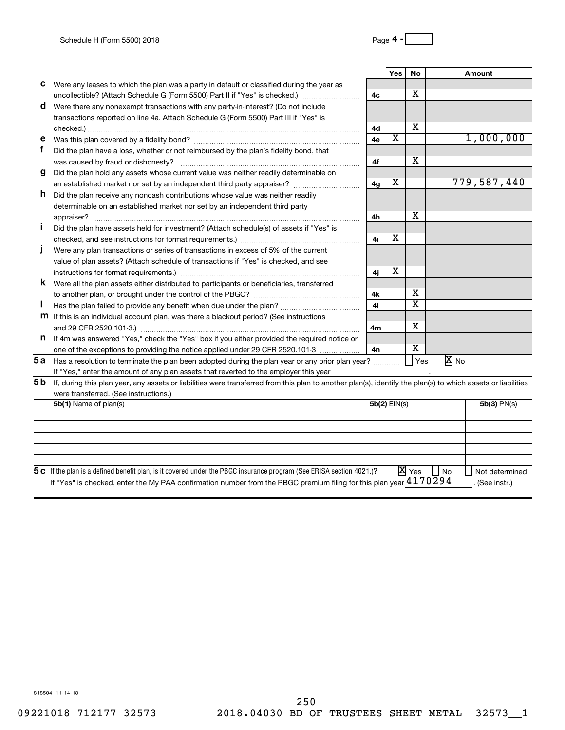|     |                                                                                                                                                              |                | Yes                   | <b>No</b> |      | Amount        |
|-----|--------------------------------------------------------------------------------------------------------------------------------------------------------------|----------------|-----------------------|-----------|------|---------------|
| с   | Were any leases to which the plan was a party in default or classified during the year as                                                                    |                |                       |           |      |               |
|     | uncollectible? (Attach Schedule G (Form 5500) Part II if "Yes" is checked.)                                                                                  | 4 <sub>c</sub> |                       | X         |      |               |
| d   | Were there any nonexempt transactions with any party-in-interest? (Do not include                                                                            |                |                       |           |      |               |
|     | transactions reported on line 4a. Attach Schedule G (Form 5500) Part III if "Yes" is                                                                         |                |                       |           |      |               |
|     |                                                                                                                                                              | 4d             |                       | x         |      |               |
| е   |                                                                                                                                                              | 4e             | $\overline{\text{x}}$ |           |      | 1,000,000     |
| f   | Did the plan have a loss, whether or not reimbursed by the plan's fidelity bond, that                                                                        |                |                       |           |      |               |
|     |                                                                                                                                                              | 4f             |                       | X         |      |               |
| g   | Did the plan hold any assets whose current value was neither readily determinable on                                                                         |                |                       |           |      |               |
|     | an established market nor set by an independent third party appraiser?                                                                                       | 4 <sub>q</sub> | x                     |           |      | 779,587,440   |
| h.  | Did the plan receive any noncash contributions whose value was neither readily                                                                               |                |                       |           |      |               |
|     | determinable on an established market nor set by an independent third party                                                                                  |                |                       |           |      |               |
|     |                                                                                                                                                              | 4h             |                       | x         |      |               |
|     | Did the plan have assets held for investment? (Attach schedule(s) of assets if "Yes" is                                                                      |                |                       |           |      |               |
|     |                                                                                                                                                              | 4i             | x                     |           |      |               |
|     | Were any plan transactions or series of transactions in excess of 5% of the current                                                                          |                |                       |           |      |               |
|     | value of plan assets? (Attach schedule of transactions if "Yes" is checked, and see                                                                          |                |                       |           |      |               |
|     |                                                                                                                                                              | 4i             | х                     |           |      |               |
| ĸ   | Were all the plan assets either distributed to participants or beneficiaries, transferred                                                                    |                |                       |           |      |               |
|     |                                                                                                                                                              | 4k             |                       | X         |      |               |
|     |                                                                                                                                                              | 41             |                       | X         |      |               |
|     | <b>m</b> If this is an individual account plan, was there a blackout period? (See instructions                                                               |                |                       |           |      |               |
|     |                                                                                                                                                              | 4m             |                       | X         |      |               |
| n   | If 4m was answered "Yes," check the "Yes" box if you either provided the required notice or                                                                  |                |                       |           |      |               |
|     | one of the exceptions to providing the notice applied under 29 CFR 2520.101-3                                                                                | 4n             |                       | х         |      |               |
|     | 5a Has a resolution to terminate the plan been adopted during the plan year or any prior plan year?                                                          |                |                       | Yes       | X No |               |
|     | If "Yes," enter the amount of any plan assets that reverted to the employer this year                                                                        |                |                       |           |      |               |
| 5 b | If, during this plan year, any assets or liabilities were transferred from this plan to another plan(s), identify the plan(s) to which assets or liabilities |                |                       |           |      |               |
|     | were transferred. (See instructions.)                                                                                                                        |                |                       |           |      |               |
|     | 5b(1) Name of plan(s)                                                                                                                                        |                | 5b(2) EIN(s)          |           |      | $5b(3)$ PN(s) |
|     |                                                                                                                                                              |                |                       |           |      |               |
|     |                                                                                                                                                              |                |                       |           |      |               |
|     |                                                                                                                                                              |                |                       |           |      |               |
|     |                                                                                                                                                              |                |                       |           |      |               |

| 5 c If the plan is a defined benefit plan, is it covered under the PBGC insurance program (See ERISA section 4021.)? $X$ Yes $\Box$ No        |  |  |  | Not determined |
|-----------------------------------------------------------------------------------------------------------------------------------------------|--|--|--|----------------|
| <sup>1f</sup> "Yes" is checked, enter the My PAA confirmation number from the PBGC premium filing for this plan year $4170\overline{2}$ 9 $4$ |  |  |  | . (See instr.) |

 $\mathsf{l}$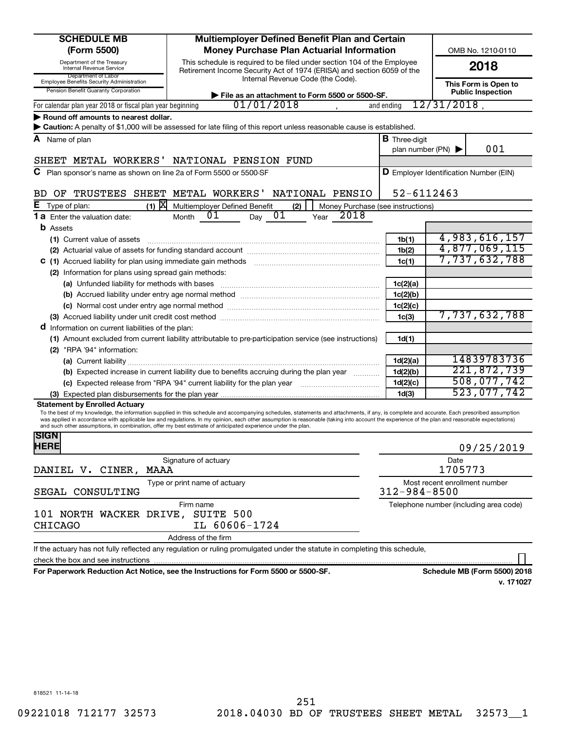| <b>SCHEDULE MB</b>                                                                                       | Multiemployer Defined Benefit Plan and Certain                                                                                                                                                                                                                                                                                                                                                                                                                                                                |                                                  |                               |                                        |
|----------------------------------------------------------------------------------------------------------|---------------------------------------------------------------------------------------------------------------------------------------------------------------------------------------------------------------------------------------------------------------------------------------------------------------------------------------------------------------------------------------------------------------------------------------------------------------------------------------------------------------|--------------------------------------------------|-------------------------------|----------------------------------------|
| (Form 5500)                                                                                              | OMB No. 1210-0110                                                                                                                                                                                                                                                                                                                                                                                                                                                                                             |                                                  |                               |                                        |
| Department of the Treasury<br>Internal Revenue Service                                                   |                                                                                                                                                                                                                                                                                                                                                                                                                                                                                                               | 2018                                             |                               |                                        |
| Department of Labor<br>Employee Benefits Security Administration<br>Pension Benefit Guaranty Corporation |                                                                                                                                                                                                                                                                                                                                                                                                                                                                                                               | This Form is Open to<br><b>Public Inspection</b> |                               |                                        |
| For calendar plan year 2018 or fiscal plan year beginning                                                | File as an attachment to Form 5500 or 5500-SF.<br>01/01/2018                                                                                                                                                                                                                                                                                                                                                                                                                                                  | and ending                                       | $12/31/2018$ ,                |                                        |
| $\blacktriangleright$ Round off amounts to nearest dollar.                                               |                                                                                                                                                                                                                                                                                                                                                                                                                                                                                                               |                                                  |                               |                                        |
|                                                                                                          | Caution: A penalty of \$1,000 will be assessed for late filing of this report unless reasonable cause is established.                                                                                                                                                                                                                                                                                                                                                                                         |                                                  |                               |                                        |
| A Name of plan                                                                                           |                                                                                                                                                                                                                                                                                                                                                                                                                                                                                                               | <b>B</b> Three-digit                             |                               |                                        |
|                                                                                                          |                                                                                                                                                                                                                                                                                                                                                                                                                                                                                                               | plan number (PN) $\blacktriangleright$           |                               | 001                                    |
|                                                                                                          | SHEET METAL WORKERS' NATIONAL PENSION FUND                                                                                                                                                                                                                                                                                                                                                                                                                                                                    |                                                  |                               |                                        |
| C Plan sponsor's name as shown on line 2a of Form 5500 or 5500-SF                                        |                                                                                                                                                                                                                                                                                                                                                                                                                                                                                                               | <b>D</b> Employer Identification Number (EIN)    |                               |                                        |
| OF TRUSTEES SHEET METAL WORKERS'<br>BD.                                                                  | NATIONAL PENSIO                                                                                                                                                                                                                                                                                                                                                                                                                                                                                               | 52-6112463                                       |                               |                                        |
| $(1)$ $X$<br>Е<br>Type of plan:                                                                          | Money Purchase (see instructions)<br>Multiemployer Defined Benefit<br>(2)                                                                                                                                                                                                                                                                                                                                                                                                                                     |                                                  |                               |                                        |
| <b>1 a</b> Enter the valuation date:                                                                     | 01<br>2018<br>01<br>Month<br>Day<br>Year                                                                                                                                                                                                                                                                                                                                                                                                                                                                      |                                                  |                               |                                        |
| <b>b</b> Assets                                                                                          |                                                                                                                                                                                                                                                                                                                                                                                                                                                                                                               |                                                  |                               |                                        |
| (1) Current value of assets                                                                              |                                                                                                                                                                                                                                                                                                                                                                                                                                                                                                               | 1 <sub>b</sub> (1)                               |                               | 4,983,616,157                          |
|                                                                                                          |                                                                                                                                                                                                                                                                                                                                                                                                                                                                                                               | 1b(2)                                            |                               | 4,877,069,115                          |
| C (1) Accrued liability for plan using immediate gain methods                                            |                                                                                                                                                                                                                                                                                                                                                                                                                                                                                                               | 1c(1)                                            |                               | 7,737,632,788                          |
| (2) Information for plans using spread gain methods:                                                     |                                                                                                                                                                                                                                                                                                                                                                                                                                                                                                               |                                                  |                               |                                        |
|                                                                                                          |                                                                                                                                                                                                                                                                                                                                                                                                                                                                                                               | 1c(2)(a)                                         |                               |                                        |
|                                                                                                          |                                                                                                                                                                                                                                                                                                                                                                                                                                                                                                               | 1c(2)(b)                                         |                               |                                        |
|                                                                                                          |                                                                                                                                                                                                                                                                                                                                                                                                                                                                                                               | 1c(2)(c)                                         |                               |                                        |
|                                                                                                          | (3) Accrued liability under unit credit cost method [11] matter intermal matter in the liability under unit credit cost method [11] matter intermal matter intermal matter in the set of the set of the set of the set of the                                                                                                                                                                                                                                                                                 | 1 <sub>c</sub> (3)                               |                               | 7,737,632,788                          |
| <b>d</b> Information on current liabilities of the plan:                                                 |                                                                                                                                                                                                                                                                                                                                                                                                                                                                                                               |                                                  |                               |                                        |
|                                                                                                          | (1) Amount excluded from current liability attributable to pre-participation service (see instructions)                                                                                                                                                                                                                                                                                                                                                                                                       | 1d(1)                                            |                               |                                        |
| (2) "RPA '94" information:                                                                               |                                                                                                                                                                                                                                                                                                                                                                                                                                                                                                               |                                                  |                               |                                        |
|                                                                                                          |                                                                                                                                                                                                                                                                                                                                                                                                                                                                                                               | 1d(2)(a)                                         |                               | 14839783736                            |
|                                                                                                          | (b) Expected increase in current liability due to benefits accruing during the plan year                                                                                                                                                                                                                                                                                                                                                                                                                      | 1d(2)(b)                                         |                               | 221,872,739                            |
|                                                                                                          |                                                                                                                                                                                                                                                                                                                                                                                                                                                                                                               |                                                  |                               | 508,077,742                            |
|                                                                                                          |                                                                                                                                                                                                                                                                                                                                                                                                                                                                                                               | 1d(2)(c)                                         |                               | 523,077,742                            |
| <b>Statement by Enrolled Actuary</b>                                                                     |                                                                                                                                                                                                                                                                                                                                                                                                                                                                                                               | 1 <sub>d</sub> (3)                               |                               |                                        |
|                                                                                                          | To the best of my knowledge, the information supplied in this schedule and accompanying schedules, statements and attachments, if any, is complete and accurate. Each prescribed assumption<br>was applied in accordance with applicable law and regulations. In my opinion, each other assumption is reasonable (taking into account the experience of the plan and reasonable expectations)<br>and such other assumptions, in combination, offer my best estimate of anticipated experience under the plan. |                                                  |                               |                                        |
| <b>SIGN</b><br><b>HERE</b>                                                                               |                                                                                                                                                                                                                                                                                                                                                                                                                                                                                                               |                                                  |                               | 09/25/2019                             |
|                                                                                                          | Signature of actuary                                                                                                                                                                                                                                                                                                                                                                                                                                                                                          |                                                  | Date                          |                                        |
| DANIEL V. CINER,<br>MAAA                                                                                 |                                                                                                                                                                                                                                                                                                                                                                                                                                                                                                               |                                                  | 1705773                       |                                        |
| SEGAL CONSULTING                                                                                         | Type or print name of actuary                                                                                                                                                                                                                                                                                                                                                                                                                                                                                 | $312 - 984 - 8500$                               | Most recent enrollment number |                                        |
| 101 NORTH WACKER DRIVE,<br><b>CHICAGO</b>                                                                | Firm name<br>SUITE 500<br>IL 60606-1724                                                                                                                                                                                                                                                                                                                                                                                                                                                                       |                                                  |                               | Telephone number (including area code) |
|                                                                                                          | Address of the firm                                                                                                                                                                                                                                                                                                                                                                                                                                                                                           |                                                  |                               |                                        |
|                                                                                                          | If the actuary has not fully reflected any regulation or ruling promulgated under the statute in completing this schedule,                                                                                                                                                                                                                                                                                                                                                                                    |                                                  |                               |                                        |
| check the box and see instructions                                                                       | For Panorwork Poduction Act Notice, see the Instructions for Form 5500 or 5500-SE                                                                                                                                                                                                                                                                                                                                                                                                                             |                                                  |                               | Schodule MR (Form 5500) 2019           |

**For Paperwork Reduction Act Notice, see the Instructions for Form 5500 or 5500-SF. Schedule MB (Form 5500) 2018**

**v. 171027**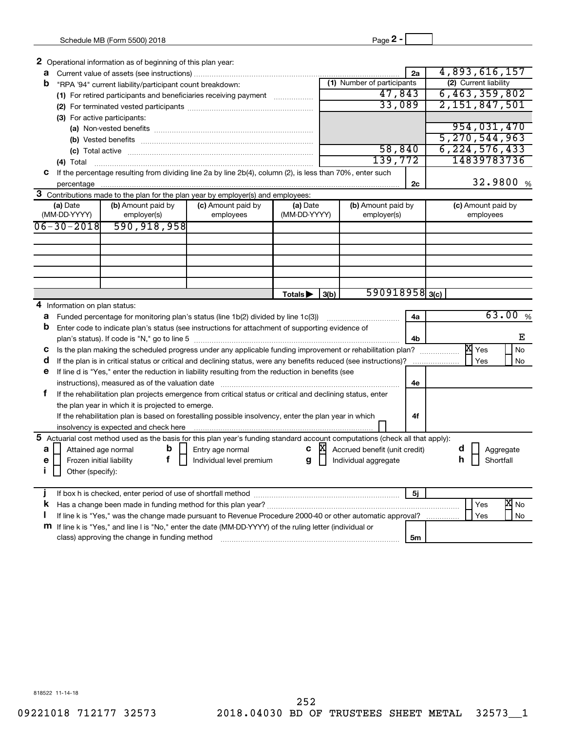| 2 Operational information as of beginning of this plan year:                                                                                                                                                                                                                                                                                                                                                                            |                          |                        |          |                               |    |                         |
|-----------------------------------------------------------------------------------------------------------------------------------------------------------------------------------------------------------------------------------------------------------------------------------------------------------------------------------------------------------------------------------------------------------------------------------------|--------------------------|------------------------|----------|-------------------------------|----|-------------------------|
| a                                                                                                                                                                                                                                                                                                                                                                                                                                       |                          |                        |          |                               | 2a | 4,893,616,157           |
| b<br>"RPA '94" current liability/participant count breakdown:                                                                                                                                                                                                                                                                                                                                                                           |                          |                        |          | (1) Number of participants    |    | (2) Current liability   |
| (1) For retired participants and beneficiaries receiving payment                                                                                                                                                                                                                                                                                                                                                                        |                          |                        |          | 47,843                        |    | 6,463,359,802           |
|                                                                                                                                                                                                                                                                                                                                                                                                                                         |                          |                        |          | 33,089                        |    | 2, 151, 847, 501        |
| (3) For active participants:                                                                                                                                                                                                                                                                                                                                                                                                            |                          |                        |          |                               |    |                         |
|                                                                                                                                                                                                                                                                                                                                                                                                                                         |                          |                        |          |                               |    | 954,031,470             |
|                                                                                                                                                                                                                                                                                                                                                                                                                                         |                          |                        |          |                               |    | 5, 270, 544, 963        |
|                                                                                                                                                                                                                                                                                                                                                                                                                                         |                          |                        |          | 58,840                        |    | 6, 224, 576, 433        |
| (4) Total<br>$\overline{a_1, \ldots, a_n, \ldots, a_n, \ldots, a_n, \ldots, a_n, \ldots, a_n, \ldots, a_n, \ldots, a_n, \ldots, a_n, \ldots, a_n, \ldots, a_n, \ldots, a_n, \ldots, a_n, \ldots, a_n, \ldots, a_n, \ldots, a_n, \ldots, a_n, \ldots, a_n, \ldots, a_n, \ldots, a_n, \ldots, a_n, \ldots, a_n, \ldots, a_n, \ldots, a_n, \ldots, a_n, \ldots, a_n, \ldots, a_n, \ldots, a_n, \ldots, a_n, \ldots, a_n, \ldots, a_n, \ld$ |                          |                        |          | 139,772                       |    | 14839783736             |
| C If the percentage resulting from dividing line 2a by line 2b(4), column (2), is less than 70%, enter such                                                                                                                                                                                                                                                                                                                             |                          |                        |          |                               |    |                         |
|                                                                                                                                                                                                                                                                                                                                                                                                                                         |                          |                        |          |                               | 2c | 32.9800 %               |
| 3 Contributions made to the plan for the plan year by employer(s) and employees:                                                                                                                                                                                                                                                                                                                                                        |                          |                        |          |                               |    |                         |
| (a) Date<br>(b) Amount paid by                                                                                                                                                                                                                                                                                                                                                                                                          | (c) Amount paid by       | (a) Date               |          | (b) Amount paid by            |    | (c) Amount paid by      |
| (MM-DD-YYYY)<br>employer(s)                                                                                                                                                                                                                                                                                                                                                                                                             | employees                | (MM-DD-YYYY)           |          | employer(s)                   |    | employees               |
| 590, 918, 958<br>$06 - 30 - 2018$                                                                                                                                                                                                                                                                                                                                                                                                       |                          |                        |          |                               |    |                         |
|                                                                                                                                                                                                                                                                                                                                                                                                                                         |                          |                        |          |                               |    |                         |
|                                                                                                                                                                                                                                                                                                                                                                                                                                         |                          |                        |          |                               |    |                         |
|                                                                                                                                                                                                                                                                                                                                                                                                                                         |                          |                        |          |                               |    |                         |
|                                                                                                                                                                                                                                                                                                                                                                                                                                         |                          |                        |          |                               |    |                         |
|                                                                                                                                                                                                                                                                                                                                                                                                                                         |                          |                        |          |                               |    |                         |
|                                                                                                                                                                                                                                                                                                                                                                                                                                         |                          | Totals <sup>&gt;</sup> | 3(b)     | $590918958$ <sub>3(c)</sub>   |    |                         |
| 4 Information on plan status:                                                                                                                                                                                                                                                                                                                                                                                                           |                          |                        |          |                               |    |                         |
| Funded percentage for monitoring plan's status (line 1b(2) divided by line 1c(3))<br>a                                                                                                                                                                                                                                                                                                                                                  |                          |                        |          |                               | 4a | 63.00%                  |
| Enter code to indicate plan's status (see instructions for attachment of supporting evidence of<br>b                                                                                                                                                                                                                                                                                                                                    |                          |                        |          |                               |    |                         |
|                                                                                                                                                                                                                                                                                                                                                                                                                                         |                          |                        |          |                               | 4b | Е                       |
| Is the plan making the scheduled progress under any applicable funding improvement or rehabilitation plan?<br>C                                                                                                                                                                                                                                                                                                                         |                          |                        |          |                               |    | $X \times$<br><b>No</b> |
| d<br>If the plan is in critical status or critical and declining status, were any benefits reduced (see instructions)?                                                                                                                                                                                                                                                                                                                  |                          |                        |          |                               |    | Yes<br>No               |
| If line d is "Yes," enter the reduction in liability resulting from the reduction in benefits (see<br>е                                                                                                                                                                                                                                                                                                                                 |                          |                        |          |                               |    |                         |
|                                                                                                                                                                                                                                                                                                                                                                                                                                         |                          |                        |          |                               | 4е |                         |
| f.<br>If the rehabilitation plan projects emergence from critical status or critical and declining status, enter                                                                                                                                                                                                                                                                                                                        |                          |                        |          |                               |    |                         |
| the plan year in which it is projected to emerge.                                                                                                                                                                                                                                                                                                                                                                                       |                          |                        |          |                               |    |                         |
| If the rehabilitation plan is based on forestalling possible insolvency, enter the plan year in which                                                                                                                                                                                                                                                                                                                                   |                          |                        |          |                               | 4f |                         |
|                                                                                                                                                                                                                                                                                                                                                                                                                                         |                          |                        |          |                               |    |                         |
| 5 Actuarial cost method used as the basis for this plan year's funding standard account computations (check all that apply):                                                                                                                                                                                                                                                                                                            |                          |                        | <b>X</b> |                               |    |                         |
| Attained age normal<br>b<br>a<br>f                                                                                                                                                                                                                                                                                                                                                                                                      | Entry age normal         | C                      |          | Accrued benefit (unit credit) |    | d<br>Aggregate<br>h     |
| Frozen initial liability<br>e                                                                                                                                                                                                                                                                                                                                                                                                           | Individual level premium | g                      |          | Individual aggregate          |    | Shortfall               |
| Î.<br>Other (specify):                                                                                                                                                                                                                                                                                                                                                                                                                  |                          |                        |          |                               |    |                         |
|                                                                                                                                                                                                                                                                                                                                                                                                                                         |                          |                        |          |                               | 5i |                         |
| k                                                                                                                                                                                                                                                                                                                                                                                                                                       |                          |                        |          |                               |    | X <sub>No</sub><br>Yes  |
|                                                                                                                                                                                                                                                                                                                                                                                                                                         |                          |                        |          |                               |    |                         |

**5m** s the change made pursuant to Revenue Procedure 2000-40 or other autor **m** If line k is "Yes," and line I is "No," enter the date (MM-DD-YYYY) of the ruling letter (individual or class) approving the change in funding method ~~~~~~~~~~~~~~~~~~~~~~~~~~~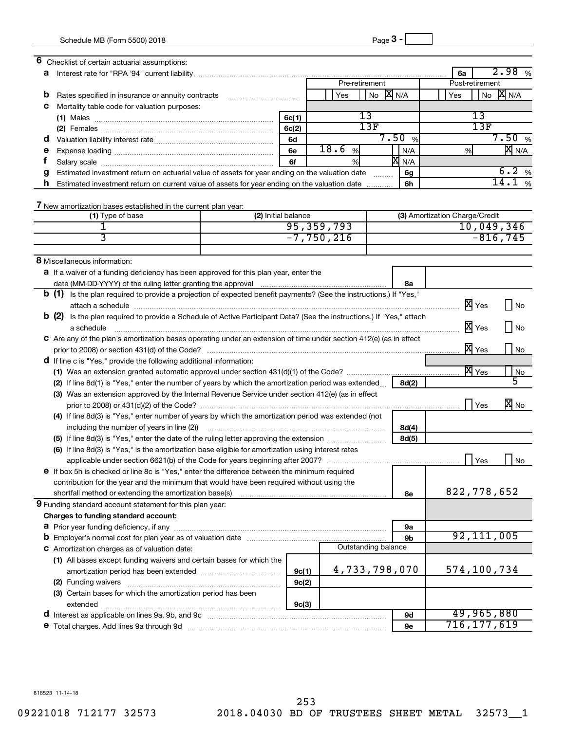| 6 | Checklist of certain actuarial assumptions:                                                                                  |                     |              |                     |                  |                                |                                   |            |
|---|------------------------------------------------------------------------------------------------------------------------------|---------------------|--------------|---------------------|------------------|--------------------------------|-----------------------------------|------------|
| a |                                                                                                                              |                     |              |                     |                  | 6a                             | 2.98                              | %          |
|   |                                                                                                                              |                     |              | Pre-retirement      |                  |                                | Post-retirement                   |            |
| b | Rates specified in insurance or annuity contracts                                                                            |                     | Yes          | No                  | <b>X</b> N/A     | Yes                            | <b>X</b> N/A<br>No                |            |
| с | Mortality table code for valuation purposes:                                                                                 |                     |              |                     |                  |                                |                                   |            |
|   |                                                                                                                              | 6c(1)               |              | 13                  |                  |                                | $\overline{13}$                   |            |
|   |                                                                                                                              | 6c(2)               |              | 13F                 |                  |                                | 13F                               |            |
| a |                                                                                                                              | 6d                  |              |                     | 7.50%            |                                | 7.50%                             |            |
| е |                                                                                                                              | 6e                  | 18.6<br>%    |                     | N/A              | %                              | $\overline{X}$ N/A                |            |
| Ť |                                                                                                                              | 6f                  | %            |                     | X <sub>N/A</sub> |                                |                                   |            |
| g | Estimated investment return on actuarial value of assets for year ending on the valuation date                               |                     |              | .                   | 6g               |                                | 6.2%                              |            |
| h | Estimated investment return on current value of assets for year ending on the valuation date                                 |                     |              |                     | 6h               |                                | 14.1%                             |            |
|   |                                                                                                                              |                     |              |                     |                  |                                |                                   |            |
|   | 7 New amortization bases established in the current plan year:                                                               |                     |              |                     |                  |                                |                                   |            |
|   | (1) Type of base                                                                                                             | (2) Initial balance |              |                     |                  | (3) Amortization Charge/Credit |                                   |            |
|   |                                                                                                                              |                     | 95, 359, 793 |                     |                  |                                | 10,049,346                        |            |
|   | 3                                                                                                                            |                     | $-7,750,216$ |                     |                  |                                | $-816, 745$                       |            |
|   |                                                                                                                              |                     |              |                     |                  |                                |                                   |            |
|   | 8 Miscellaneous information:                                                                                                 |                     |              |                     |                  |                                |                                   |            |
|   |                                                                                                                              |                     |              |                     |                  |                                |                                   |            |
|   | <b>a</b> If a waiver of a funding deficiency has been approved for this plan year, enter the                                 |                     |              |                     |                  |                                |                                   |            |
|   |                                                                                                                              |                     |              |                     | 8а               |                                |                                   |            |
|   | <b>b</b> (1) Is the plan required to provide a projection of expected benefit payments? (See the instructions.) If "Yes,"    |                     |              |                     |                  |                                |                                   |            |
|   |                                                                                                                              |                     |              |                     |                  |                                | X Yes<br>$ $ No                   |            |
|   | <b>b</b> (2) Is the plan required to provide a Schedule of Active Participant Data? (See the instructions.) If "Yes," attach |                     |              |                     |                  |                                |                                   |            |
|   | a schedule                                                                                                                   |                     |              |                     |                  |                                | X Yes<br>    No                   |            |
|   | C Are any of the plan's amortization bases operating under an extension of time under section 412(e) (as in effect           |                     |              |                     |                  |                                |                                   |            |
|   |                                                                                                                              |                     |              |                     |                  |                                | X Yes                             | $\big $ No |
|   | <b>d</b> If line c is "Yes," provide the following additional information:                                                   |                     |              |                     |                  |                                |                                   |            |
|   |                                                                                                                              |                     |              |                     |                  |                                | <b>X</b> Yes                      | No         |
|   | (2) If line 8d(1) is "Yes," enter the number of years by which the amortization period was extended                          |                     |              |                     | 8d(2)            |                                |                                   |            |
|   | (3) Was an extension approved by the Internal Revenue Service under section 412(e) (as in effect                             |                     |              |                     |                  |                                |                                   |            |
|   |                                                                                                                              |                     |              |                     |                  |                                | $\overline{\mathbf{x}}$ No<br>Yes |            |
|   | (4) If line 8d(3) is "Yes," enter number of years by which the amortization period was extended (not                         |                     |              |                     |                  |                                |                                   |            |
|   | including the number of years in line (2))                                                                                   |                     |              |                     | 8d(4)            |                                |                                   |            |
|   |                                                                                                                              |                     |              |                     | 8d(5)            |                                |                                   |            |
|   | (6) If line 8d(3) is "Yes," is the amortization base eligible for amortization using interest rates                          |                     |              |                     |                  |                                |                                   |            |
|   |                                                                                                                              |                     |              |                     |                  |                                | Yes                               | No         |
|   | e If box 5h is checked or line 8c is "Yes," enter the difference between the minimum required                                |                     |              |                     |                  |                                |                                   |            |
|   | contribution for the year and the minimum that would have been required without using the                                    |                     |              |                     |                  |                                |                                   |            |
|   | shortfall method or extending the amortization base(s)                                                                       |                     |              |                     | 8е               |                                | 822,778,652                       |            |
|   | 9 Funding standard account statement for this plan year:                                                                     |                     |              |                     |                  |                                |                                   |            |
|   | Charges to funding standard account:                                                                                         |                     |              |                     |                  |                                |                                   |            |
|   | <b>a</b> Prior year funding deficiency, if any                                                                               |                     |              |                     | 9a               |                                |                                   |            |
|   |                                                                                                                              |                     |              |                     | 9b               |                                | 92,111,005                        |            |
|   | <b>C</b> Amortization charges as of valuation date:                                                                          |                     |              | Outstanding balance |                  |                                |                                   |            |
|   |                                                                                                                              |                     |              |                     |                  |                                |                                   |            |
|   | (1) All bases except funding waivers and certain bases for which the                                                         |                     |              | 4,733,798,070       |                  |                                | 574,100,734                       |            |
|   |                                                                                                                              | 9c(1)               |              |                     |                  |                                |                                   |            |
|   | (2) Funding waivers                                                                                                          | 9c(2)               |              |                     |                  |                                |                                   |            |
|   | (3) Certain bases for which the amortization period has been                                                                 |                     |              |                     |                  |                                |                                   |            |
|   |                                                                                                                              | 9c(3)               |              |                     |                  |                                |                                   |            |
|   | d Interest as applicable on lines 9a, 9b, and 9c [11] manufactures materials in the set of lines and lines 9a, 9b, and 9c    |                     |              |                     | 9d               |                                | 49,965,880                        |            |
|   | e Total charges. Add lines 9a through 9d                                                                                     |                     |              |                     | 9e               |                                | 716,177,619                       |            |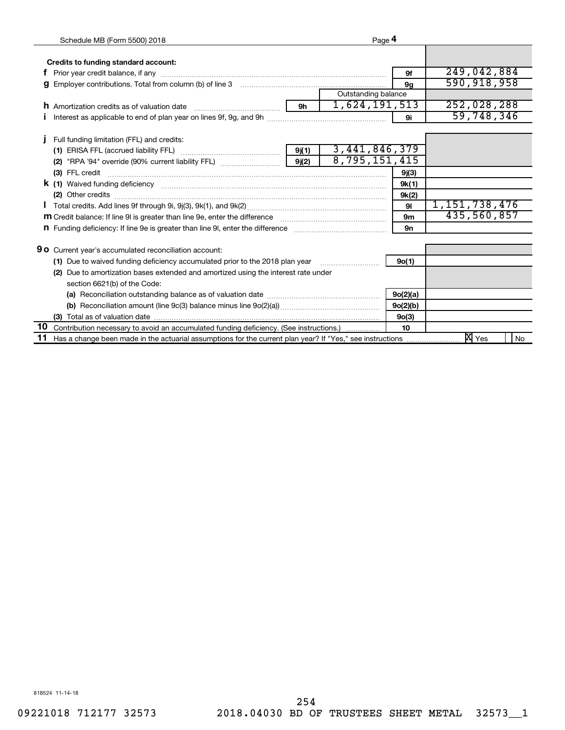|                                                                                    | Schedule MB (Form 5500) 2018                                                                                                                                                                                                   |      | Page 4              |                |                  |    |
|------------------------------------------------------------------------------------|--------------------------------------------------------------------------------------------------------------------------------------------------------------------------------------------------------------------------------|------|---------------------|----------------|------------------|----|
|                                                                                    | Credits to funding standard account:                                                                                                                                                                                           |      |                     |                |                  |    |
|                                                                                    | Prior year credit balance, if any manufacture content and an interest of any manufacture content and any manufacture content and any manufacture content and any manufacture content and any manufacture content and any manuf |      |                     | 9f             | 249,042,884      |    |
| g                                                                                  | Employer contributions. Total from column (b) of line 3 [11] manufacture contributions. Total from column (b) of line 3                                                                                                        |      |                     | 9 <sub>q</sub> | 590,918,958      |    |
|                                                                                    |                                                                                                                                                                                                                                |      | Outstanding balance |                |                  |    |
|                                                                                    | <b>h</b> Amortization credits as of valuation date                                                                                                                                                                             | $9h$ | 1,624,191,513       |                | 252,028,288      |    |
|                                                                                    |                                                                                                                                                                                                                                |      |                     | 9i             | 59,748,346       |    |
|                                                                                    |                                                                                                                                                                                                                                |      |                     |                |                  |    |
|                                                                                    | Full funding limitation (FFL) and credits:                                                                                                                                                                                     |      |                     |                |                  |    |
|                                                                                    |                                                                                                                                                                                                                                |      | 3, 441, 846, 379    |                |                  |    |
|                                                                                    |                                                                                                                                                                                                                                |      | 8,795,151,415       |                |                  |    |
|                                                                                    |                                                                                                                                                                                                                                |      |                     | 9j(3)          |                  |    |
|                                                                                    | <b>k</b> (1) Waived funding deficiency <b>continuum continuum continuum continuum</b> continuum continuum continuum continuum                                                                                                  |      |                     | 9k(1)          |                  |    |
|                                                                                    |                                                                                                                                                                                                                                |      |                     | 9k(2)          |                  |    |
|                                                                                    |                                                                                                                                                                                                                                |      |                     | 91             | 1, 151, 738, 476 |    |
| 9m                                                                                 |                                                                                                                                                                                                                                |      |                     |                | 435,560,857      |    |
|                                                                                    | n Funding deficiency: If line 9e is greater than line 9I, enter the difference manufactured contains an extendion                                                                                                              |      |                     | 9n             |                  |    |
|                                                                                    |                                                                                                                                                                                                                                |      |                     |                |                  |    |
|                                                                                    | <b>90</b> Current year's accumulated reconciliation account:                                                                                                                                                                   |      |                     |                |                  |    |
|                                                                                    | (1) Due to waived funding deficiency accumulated prior to the 2018 plan year                                                                                                                                                   |      |                     | 9o(1)          |                  |    |
| (2) Due to amortization bases extended and amortized using the interest rate under |                                                                                                                                                                                                                                |      |                     |                |                  |    |
|                                                                                    | section 6621(b) of the Code:                                                                                                                                                                                                   |      |                     |                |                  |    |
|                                                                                    |                                                                                                                                                                                                                                |      |                     | 9o(2)(a)       |                  |    |
| 9o(2)(b)                                                                           |                                                                                                                                                                                                                                |      |                     |                |                  |    |
|                                                                                    | (3) Total as of valuation date $\ldots$ $\ldots$ $\ldots$ $\ldots$ $\ldots$ $\ldots$ $\ldots$ $\ldots$ $\ldots$ $\ldots$ $\ldots$ $\ldots$ $\ldots$ $\ldots$ $\ldots$                                                          |      |                     | 9o(3)          |                  |    |
|                                                                                    | 10 Contribution necessary to avoid an accumulated funding deficiency. (See instructions.)                                                                                                                                      |      |                     | 10             |                  |    |
| 11                                                                                 |                                                                                                                                                                                                                                |      |                     |                | X Yes            | No |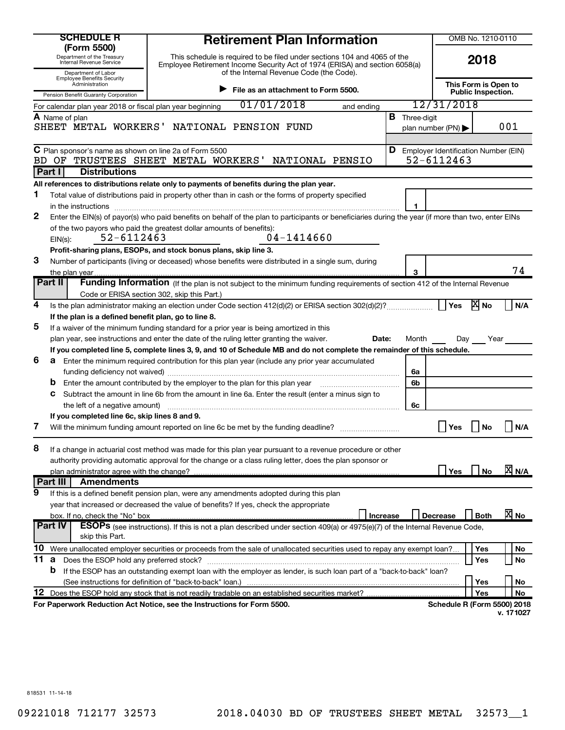|     | <b>SCHEDULE R</b>                                                                           | <b>Retirement Plan Information</b><br>(Form 5500)                                                                                                                                                                          |                                                   |                                               | OMB No. 1210-0110 |                    |  |
|-----|---------------------------------------------------------------------------------------------|----------------------------------------------------------------------------------------------------------------------------------------------------------------------------------------------------------------------------|---------------------------------------------------|-----------------------------------------------|-------------------|--------------------|--|
|     | Department of the Treasury<br>Internal Revenue Service                                      | This schedule is required to be filed under sections 104 and 4065 of the<br>Employee Retirement Income Security Act of 1974 (ERISA) and section 6058(a)<br>of the Internal Revenue Code (the Code).<br>Department of Labor |                                                   |                                               | 2018              |                    |  |
|     | <b>Employee Benefits Security</b><br>Administration<br>Pension Benefit Guaranty Corporation |                                                                                                                                                                                                                            | This Form is Open to<br><b>Public Inspection.</b> |                                               |                   |                    |  |
|     | For calendar plan year 2018 or fiscal plan year beginning                                   | 01/01/2018<br>and ending                                                                                                                                                                                                   |                                                   | 12/31/2018                                    |                   |                    |  |
|     | A Name of plan                                                                              |                                                                                                                                                                                                                            | <b>B</b> Three-digit                              |                                               |                   |                    |  |
|     |                                                                                             | SHEET METAL WORKERS' NATIONAL PENSION FUND                                                                                                                                                                                 |                                                   | plan number (PN)                              |                   | 001                |  |
|     |                                                                                             |                                                                                                                                                                                                                            |                                                   |                                               |                   |                    |  |
|     | C Plan sponsor's name as shown on line 2a of Form 5500                                      |                                                                                                                                                                                                                            |                                                   | <b>D</b> Employer Identification Number (EIN) |                   |                    |  |
| BD. | OF                                                                                          | TRUSTEES SHEET METAL WORKERS' NATIONAL PENSIO                                                                                                                                                                              |                                                   | 52-6112463                                    |                   |                    |  |
|     | Part I<br><b>Distributions</b>                                                              |                                                                                                                                                                                                                            |                                                   |                                               |                   |                    |  |
|     |                                                                                             | All references to distributions relate only to payments of benefits during the plan year.                                                                                                                                  |                                                   |                                               |                   |                    |  |
| 1   |                                                                                             | Total value of distributions paid in property other than in cash or the forms of property specified                                                                                                                        |                                                   |                                               |                   |                    |  |
|     | in the instructions                                                                         |                                                                                                                                                                                                                            | 1                                                 |                                               |                   |                    |  |
| 2   |                                                                                             | Enter the EIN(s) of payor(s) who paid benefits on behalf of the plan to participants or beneficiaries during the year (if more than two, enter EINs                                                                        |                                                   |                                               |                   |                    |  |
|     |                                                                                             | of the two payors who paid the greatest dollar amounts of benefits):                                                                                                                                                       |                                                   |                                               |                   |                    |  |
|     | 52-6112463<br>$EIN(s)$ :                                                                    | $04 - 1414660$                                                                                                                                                                                                             |                                                   |                                               |                   |                    |  |
|     |                                                                                             | Profit-sharing plans, ESOPs, and stock bonus plans, skip line 3.                                                                                                                                                           |                                                   |                                               |                   |                    |  |
| 3   |                                                                                             | Number of participants (living or deceased) whose benefits were distributed in a single sum, during                                                                                                                        |                                                   |                                               |                   |                    |  |
|     | the plan year.                                                                              |                                                                                                                                                                                                                            | 3                                                 |                                               |                   | 74                 |  |
|     | Part II                                                                                     | Funding Information (If the plan is not subject to the minimum funding requirements of section 412 of the Internal Revenue                                                                                                 |                                                   |                                               |                   |                    |  |
|     |                                                                                             | Code or ERISA section 302, skip this Part.)                                                                                                                                                                                |                                                   |                                               |                   |                    |  |
| 4   |                                                                                             |                                                                                                                                                                                                                            |                                                   | Yes                                           | <b>X</b> No       | N/A                |  |
|     | If the plan is a defined benefit plan, go to line 8.                                        |                                                                                                                                                                                                                            |                                                   |                                               |                   |                    |  |
| 5   |                                                                                             | If a waiver of the minimum funding standard for a prior year is being amortized in this                                                                                                                                    |                                                   |                                               |                   |                    |  |
|     |                                                                                             | plan year, see instructions and enter the date of the ruling letter granting the waiver.<br>Date:                                                                                                                          | Month                                             | Day                                           | Year              |                    |  |
|     |                                                                                             | If you completed line 5, complete lines 3, 9, and 10 of Schedule MB and do not complete the remainder of this schedule.                                                                                                    |                                                   |                                               |                   |                    |  |
| 6   |                                                                                             | <b>a</b> Enter the minimum required contribution for this plan year (include any prior year accumulated                                                                                                                    |                                                   |                                               |                   |                    |  |
|     |                                                                                             |                                                                                                                                                                                                                            | 6a                                                |                                               |                   |                    |  |
|     |                                                                                             | Enter the amount contributed by the employer to the plan for this plan year manufactured contributed by the employer to the plan for this plan year                                                                        | 6b                                                |                                               |                   |                    |  |
|     | С                                                                                           | Subtract the amount in line 6b from the amount in line 6a. Enter the result (enter a minus sign to                                                                                                                         |                                                   |                                               |                   |                    |  |
|     | the left of a negative amount)                                                              |                                                                                                                                                                                                                            | 6с                                                |                                               |                   |                    |  |
| 7   | If you completed line 6c, skip lines 8 and 9.                                               |                                                                                                                                                                                                                            |                                                   |                                               |                   |                    |  |
|     |                                                                                             | Will the minimum funding amount reported on line 6c be met by the funding deadline?                                                                                                                                        |                                                   | Yes                                           | No                | N/A                |  |
| 8   |                                                                                             | If a change in actuarial cost method was made for this plan year pursuant to a revenue procedure or other                                                                                                                  |                                                   |                                               |                   |                    |  |
|     |                                                                                             | authority providing automatic approval for the change or a class ruling letter, does the plan sponsor or                                                                                                                   |                                                   |                                               |                   |                    |  |
|     | plan administrator agree with the change?                                                   |                                                                                                                                                                                                                            |                                                   | Yes                                           | No                | $\overline{X}$ N/A |  |
|     | Part III<br><b>Amendments</b>                                                               |                                                                                                                                                                                                                            |                                                   |                                               |                   |                    |  |
| 9   |                                                                                             | If this is a defined benefit pension plan, were any amendments adopted during this plan                                                                                                                                    |                                                   |                                               |                   |                    |  |
|     |                                                                                             | year that increased or decreased the value of benefits? If yes, check the appropriate                                                                                                                                      |                                                   |                                               |                   |                    |  |
|     | box. If no, check the "No" box                                                              | Increase                                                                                                                                                                                                                   |                                                   | <b>Decrease</b>                               | <b>Both</b>       | $\overline{X}$ No  |  |
|     | Part IV                                                                                     | <b>ESOPs</b> (see instructions). If this is not a plan described under section 409(a) or 4975(e)(7) of the Internal Revenue Code,                                                                                          |                                                   |                                               |                   |                    |  |
|     | skip this Part.                                                                             |                                                                                                                                                                                                                            |                                                   |                                               |                   |                    |  |
| 10  |                                                                                             | Were unallocated employer securities or proceeds from the sale of unallocated securities used to repay any exempt loan?                                                                                                    |                                                   |                                               | Yes               | No                 |  |
| 11  | <b>a</b> Does the ESOP hold any preferred stock?                                            |                                                                                                                                                                                                                            |                                                   |                                               | Yes               | No                 |  |
|     | b                                                                                           | If the ESOP has an outstanding exempt loan with the employer as lender, is such loan part of a "back-to-back" loan?                                                                                                        |                                                   |                                               |                   |                    |  |
|     |                                                                                             |                                                                                                                                                                                                                            |                                                   |                                               | Yes               | No                 |  |
| 12  |                                                                                             | Does the ESOP hold any stock that is not readily tradable on an established securities market?                                                                                                                             |                                                   |                                               | Yes               | No                 |  |
|     |                                                                                             | For Paperwork Reduction Act Notice, see the Instructions for Form 5500.                                                                                                                                                    |                                                   | <b>Schedule R (Form 5500) 2018</b>            |                   |                    |  |
|     |                                                                                             |                                                                                                                                                                                                                            |                                                   |                                               |                   | v. 171027          |  |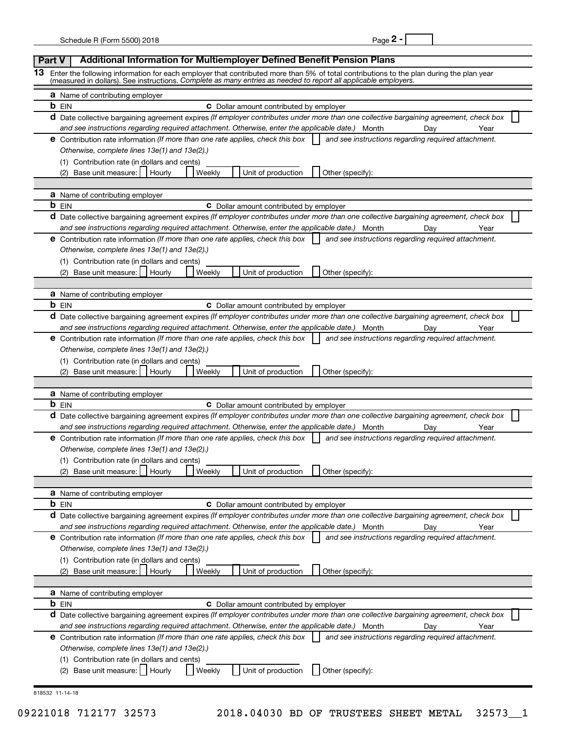| ٦ρ<br>łГ |  |  |
|----------|--|--|
|----------|--|--|

| Part V |  | <b>Additional Information for Multiemployer Defined Benefit Pension Plans</b>                                                                                                                                                                              |  |  |  |  |  |  |
|--------|--|------------------------------------------------------------------------------------------------------------------------------------------------------------------------------------------------------------------------------------------------------------|--|--|--|--|--|--|
| 13.    |  | Enter the following information for each employer that contributed more than 5% of total contributions to the plan during the plan year<br>(measured in dollars). See instructions. Complete as many entries as needed to report all applicable employers. |  |  |  |  |  |  |
|        |  |                                                                                                                                                                                                                                                            |  |  |  |  |  |  |
|        |  | <b>a</b> Name of contributing employer<br><b>b</b> EIN<br><b>C</b> Dollar amount contributed by employer                                                                                                                                                   |  |  |  |  |  |  |
|        |  | d Date collective bargaining agreement expires (If employer contributes under more than one collective bargaining agreement, check box                                                                                                                     |  |  |  |  |  |  |
|        |  | and see instructions regarding required attachment. Otherwise, enter the applicable date.) Month<br>Dav<br>Year                                                                                                                                            |  |  |  |  |  |  |
|        |  | <b>e</b> Contribution rate information (If more than one rate applies, check this box<br>and see instructions regarding required attachment.                                                                                                               |  |  |  |  |  |  |
|        |  | Otherwise, complete lines 13e(1) and 13e(2).)                                                                                                                                                                                                              |  |  |  |  |  |  |
|        |  | (1) Contribution rate (in dollars and cents)                                                                                                                                                                                                               |  |  |  |  |  |  |
|        |  | Unit of production<br>(2) Base unit measure:  <br>Hourly<br>Weekly<br>Other (specify):                                                                                                                                                                     |  |  |  |  |  |  |
|        |  | <b>a</b> Name of contributing employer                                                                                                                                                                                                                     |  |  |  |  |  |  |
|        |  | <b>b</b> EIN<br><b>C</b> Dollar amount contributed by employer                                                                                                                                                                                             |  |  |  |  |  |  |
|        |  | d Date collective bargaining agreement expires (If employer contributes under more than one collective bargaining agreement, check box                                                                                                                     |  |  |  |  |  |  |
|        |  | and see instructions regarding required attachment. Otherwise, enter the applicable date.) Month<br>Dav<br>Year                                                                                                                                            |  |  |  |  |  |  |
|        |  | <b>e</b> Contribution rate information (If more than one rate applies, check this box<br>and see instructions regarding required attachment.                                                                                                               |  |  |  |  |  |  |
|        |  | Otherwise, complete lines 13e(1) and 13e(2).)                                                                                                                                                                                                              |  |  |  |  |  |  |
|        |  | (1) Contribution rate (in dollars and cents)                                                                                                                                                                                                               |  |  |  |  |  |  |
|        |  | Unit of production<br>(2) Base unit measure:  <br>Weekly<br>Other (specify):<br>Hourly                                                                                                                                                                     |  |  |  |  |  |  |
|        |  |                                                                                                                                                                                                                                                            |  |  |  |  |  |  |
|        |  | <b>a</b> Name of contributing employer<br><b>b</b> EIN<br><b>C</b> Dollar amount contributed by employer                                                                                                                                                   |  |  |  |  |  |  |
|        |  | d Date collective bargaining agreement expires (If employer contributes under more than one collective bargaining agreement, check box                                                                                                                     |  |  |  |  |  |  |
|        |  | and see instructions regarding required attachment. Otherwise, enter the applicable date.) Month<br>Dav<br>Year                                                                                                                                            |  |  |  |  |  |  |
|        |  | <b>e</b> Contribution rate information (If more than one rate applies, check this box<br>and see instructions regarding required attachment.                                                                                                               |  |  |  |  |  |  |
|        |  | Otherwise, complete lines 13e(1) and 13e(2).)                                                                                                                                                                                                              |  |  |  |  |  |  |
|        |  | (1) Contribution rate (in dollars and cents)                                                                                                                                                                                                               |  |  |  |  |  |  |
|        |  | Unit of production<br>(2) Base unit measure:  <br>Weekly<br>Other (specify):<br>Hourly                                                                                                                                                                     |  |  |  |  |  |  |
|        |  |                                                                                                                                                                                                                                                            |  |  |  |  |  |  |
|        |  | <b>a</b> Name of contributing employer<br><b>b</b> EIN<br><b>C</b> Dollar amount contributed by employer                                                                                                                                                   |  |  |  |  |  |  |
|        |  | d Date collective bargaining agreement expires (If employer contributes under more than one collective bargaining agreement, check box                                                                                                                     |  |  |  |  |  |  |
|        |  | and see instructions regarding required attachment. Otherwise, enter the applicable date.)<br>Year<br>Month<br>Day                                                                                                                                         |  |  |  |  |  |  |
|        |  | <b>e</b> Contribution rate information (If more than one rate applies, check this box<br>and see instructions regarding required attachment.                                                                                                               |  |  |  |  |  |  |
|        |  | Otherwise, complete lines 13e(1) and 13e(2).)                                                                                                                                                                                                              |  |  |  |  |  |  |
|        |  | (1) Contribution rate (in dollars and cents)                                                                                                                                                                                                               |  |  |  |  |  |  |
|        |  | (2) Base unit measure:<br>Weekly<br>Unit of production<br>Hourly<br>Other (specify):                                                                                                                                                                       |  |  |  |  |  |  |
|        |  |                                                                                                                                                                                                                                                            |  |  |  |  |  |  |
|        |  | <b>a</b> Name of contributing employer<br><b>b</b> EIN<br><b>C</b> Dollar amount contributed by employer                                                                                                                                                   |  |  |  |  |  |  |
|        |  | d Date collective bargaining agreement expires (If employer contributes under more than one collective bargaining agreement, check box                                                                                                                     |  |  |  |  |  |  |
|        |  | and see instructions regarding required attachment. Otherwise, enter the applicable date.) Month<br>Year<br>Day                                                                                                                                            |  |  |  |  |  |  |
|        |  | and see instructions regarding required attachment.<br><b>e</b> Contribution rate information (If more than one rate applies, check this box                                                                                                               |  |  |  |  |  |  |
|        |  | Otherwise, complete lines 13e(1) and 13e(2).)                                                                                                                                                                                                              |  |  |  |  |  |  |
|        |  | (1) Contribution rate (in dollars and cents)                                                                                                                                                                                                               |  |  |  |  |  |  |
|        |  | (2) Base unit measure:<br>Weekly<br>Unit of production<br>Other (specify):<br>Hourly                                                                                                                                                                       |  |  |  |  |  |  |
|        |  |                                                                                                                                                                                                                                                            |  |  |  |  |  |  |
|        |  | <b>a</b> Name of contributing employer<br><b>b</b> EIN<br><b>C</b> Dollar amount contributed by employer                                                                                                                                                   |  |  |  |  |  |  |
|        |  | d Date collective bargaining agreement expires (If employer contributes under more than one collective bargaining agreement, check box                                                                                                                     |  |  |  |  |  |  |
|        |  | and see instructions regarding required attachment. Otherwise, enter the applicable date.) Month<br>Year<br>Day                                                                                                                                            |  |  |  |  |  |  |
|        |  | and see instructions regarding required attachment.<br><b>e</b> Contribution rate information (If more than one rate applies, check this box                                                                                                               |  |  |  |  |  |  |
|        |  | Otherwise, complete lines 13e(1) and 13e(2).)                                                                                                                                                                                                              |  |  |  |  |  |  |
|        |  | (1) Contribution rate (in dollars and cents)                                                                                                                                                                                                               |  |  |  |  |  |  |
|        |  | (2) Base unit measure:     Hourly<br>Unit of production<br>Other (specify):<br>Weekly                                                                                                                                                                      |  |  |  |  |  |  |
|        |  |                                                                                                                                                                                                                                                            |  |  |  |  |  |  |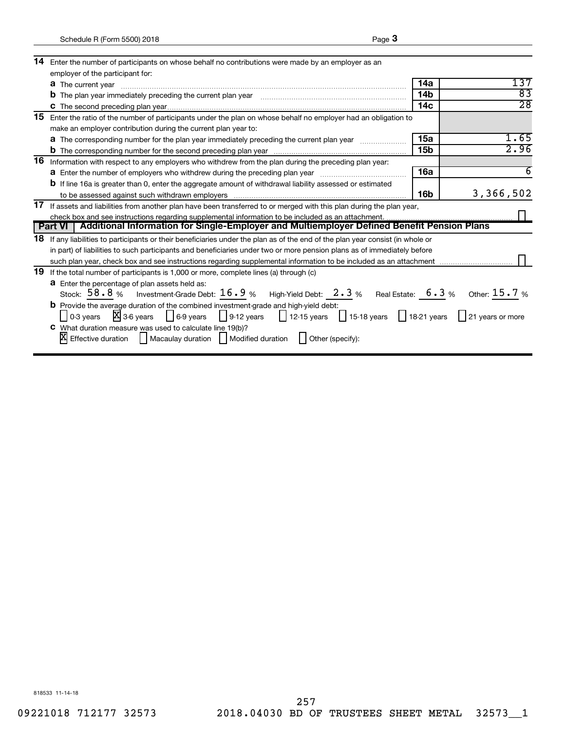| 14 | Enter the number of participants on whose behalf no contributions were made by an employer as an                                                                                                                                                                   |                 |                 |  |  |  |
|----|--------------------------------------------------------------------------------------------------------------------------------------------------------------------------------------------------------------------------------------------------------------------|-----------------|-----------------|--|--|--|
|    | employer of the participant for:                                                                                                                                                                                                                                   |                 |                 |  |  |  |
|    | <b>a</b> The current year                                                                                                                                                                                                                                          | 14a             | 137             |  |  |  |
|    | <b>b</b> The plan year immediately preceding the current plan year                                                                                                                                                                                                 | 14 <sub>b</sub> | 83              |  |  |  |
|    |                                                                                                                                                                                                                                                                    | 14 <sub>c</sub> | $\overline{28}$ |  |  |  |
| 15 | Enter the ratio of the number of participants under the plan on whose behalf no employer had an obligation to                                                                                                                                                      |                 |                 |  |  |  |
|    | make an employer contribution during the current plan year to:                                                                                                                                                                                                     |                 |                 |  |  |  |
|    | a The corresponding number for the plan year immediately preceding the current plan year                                                                                                                                                                           | 15a             | 1.65            |  |  |  |
|    |                                                                                                                                                                                                                                                                    | 15 <sub>b</sub> | 2.96            |  |  |  |
| 16 | Information with respect to any employers who withdrew from the plan during the preceding plan year:                                                                                                                                                               |                 |                 |  |  |  |
|    | <b>a</b> Enter the number of employers who withdrew during the preceding plan year                                                                                                                                                                                 | 16a             | 6               |  |  |  |
|    | <b>b</b> If line 16a is greater than 0, enter the aggregate amount of withdrawal liability assessed or estimated                                                                                                                                                   |                 |                 |  |  |  |
|    |                                                                                                                                                                                                                                                                    | 16 <sub>b</sub> | 3,366,502       |  |  |  |
| 17 | If assets and liabilities from another plan have been transferred to or merged with this plan during the plan year,                                                                                                                                                |                 |                 |  |  |  |
|    |                                                                                                                                                                                                                                                                    |                 |                 |  |  |  |
|    | Part VI   Additional Information for Single-Employer and Multiemployer Defined Benefit Pension Plans                                                                                                                                                               |                 |                 |  |  |  |
| 18 | If any liabilities to participants or their beneficiaries under the plan as of the end of the plan year consist (in whole or                                                                                                                                       |                 |                 |  |  |  |
|    | in part) of liabilities to such participants and beneficiaries under two or more pension plans as of immediately before                                                                                                                                            |                 |                 |  |  |  |
|    |                                                                                                                                                                                                                                                                    |                 |                 |  |  |  |
| 19 | If the total number of participants is 1,000 or more, complete lines (a) through (c)                                                                                                                                                                               |                 |                 |  |  |  |
|    | a Enter the percentage of plan assets held as:                                                                                                                                                                                                                     |                 |                 |  |  |  |
|    | Stock: $58.8%$ Investment-Grade Debt: $16.9%$ High-Yield Debt: $2.3%$ Real Estate: $6.3%$ Other: $15.7%$                                                                                                                                                           |                 |                 |  |  |  |
|    | <b>b</b> Provide the average duration of the combined investment-grade and high-yield debt:                                                                                                                                                                        |                 |                 |  |  |  |
|    | 0-3 years $\overline{X}$ 3-6 years $\overline{\phantom{a}}$ 6-9 years $\overline{\phantom{a}}$ 9-12 years $\overline{\phantom{a}}$ 12-15 years $\overline{\phantom{a}}$ 15-18 years $\overline{\phantom{a}}$ 18-21 years $\overline{\phantom{a}}$ 21 years or more |                 |                 |  |  |  |
|    | C What duration measure was used to calculate line 19(b)?                                                                                                                                                                                                          |                 |                 |  |  |  |
|    | $[X]$ Effective duration $\Box$ Macaulay duration $\Box$ Modified duration $\Box$ Other (specify):                                                                                                                                                                 |                 |                 |  |  |  |
|    |                                                                                                                                                                                                                                                                    |                 |                 |  |  |  |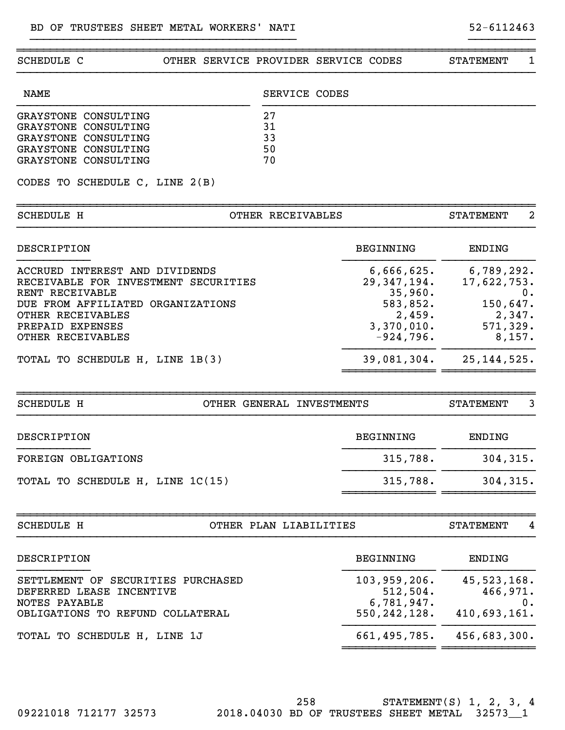| SCHEDULE C                           | OTHER SERVICE PROVIDER SERVICE CODES |                             | <b>STATEMENT</b>        | 1     |
|--------------------------------------|--------------------------------------|-----------------------------|-------------------------|-------|
| <b>NAME</b>                          | SERVICE CODES                        |                             |                         |       |
| GRAYSTONE CONSULTING                 | 27                                   |                             |                         |       |
| GRAYSTONE CONSULTING                 | 31                                   |                             |                         |       |
| GRAYSTONE CONSULTING                 | 33                                   |                             |                         |       |
| GRAYSTONE CONSULTING                 | 50                                   |                             |                         |       |
| GRAYSTONE CONSULTING                 | 70                                   |                             |                         |       |
| CODES TO SCHEDULE C, LINE 2(B)       |                                      |                             |                         |       |
| <b>SCHEDULE H</b>                    | OTHER RECEIVABLES                    |                             | <b>STATEMENT</b>        | 2     |
| DESCRIPTION                          |                                      | <b>BEGINNING</b>            | <b>ENDING</b>           |       |
| ACCRUED INTEREST AND DIVIDENDS       |                                      |                             | 6,789,292.              |       |
| RECEIVABLE FOR INVESTMENT SECURITIES |                                      | 6,666,625.<br>29, 347, 194. | 17,622,753.             |       |
| RENT RECEIVABLE                      |                                      | 35,960.                     |                         | 0.    |
| DUE FROM AFFILIATED ORGANIZATIONS    |                                      | 583,852.                    | 150,647.                |       |
| OTHER RECEIVABLES                    |                                      | 2,459.                      | 2,347.                  |       |
| PREPAID EXPENSES                     |                                      | 3,370,010.                  | 571,329.                |       |
| OTHER RECEIVABLES                    |                                      | $-924,796.$                 | 8,157.                  |       |
| TOTAL TO SCHEDULE H, LINE 1B(3)      |                                      |                             | 39,081,304. 25,144,525. |       |
|                                      |                                      |                             |                         |       |
| <b>SCHEDULE H</b>                    | OTHER GENERAL INVESTMENTS            |                             | <b>STATEMENT</b>        | 3     |
| DESCRIPTION                          |                                      | <b>BEGINNING</b>            | <b>ENDING</b>           |       |
| FOREIGN OBLIGATIONS                  |                                      | 315,788.                    | 304, 315.               |       |
| TOTAL TO SCHEDULE H, LINE 1C(15)     |                                      | 315,788.                    | 304,315.                |       |
|                                      |                                      |                             |                         |       |
| <b>SCHEDULE H</b>                    | OTHER PLAN LIABILITIES               |                             | <b>STATEMENT</b>        | 4     |
| DESCRIPTION                          |                                      | BEGINNING                   | ENDING                  |       |
| SETTLEMENT OF SECURITIES PURCHASED   |                                      | 103, 959, 206.              | 45, 523, 168.           |       |
| DEFERRED LEASE INCENTIVE             |                                      | 512,504.                    | 466,971.                |       |
| NOTES PAYABLE                        |                                      | 6,781,947.                  |                         | $0$ . |
| OBLIGATIONS TO REFUND COLLATERAL     |                                      | 550,242,128.                | 410,693,161.            |       |
|                                      |                                      | 661, 495, 785.              | 456,683,300.            |       |